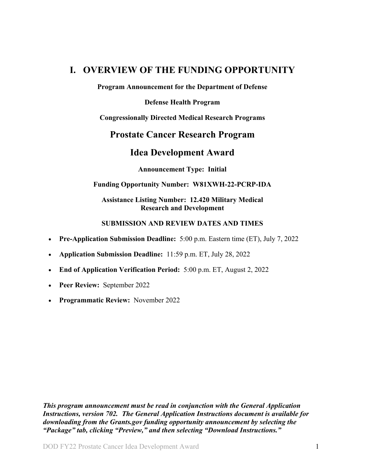## <span id="page-0-0"></span>**I. OVERVIEW OF THE FUNDING OPPORTUNITY**

**Program Announcement for the Department of Defense**

**Defense Health Program**

**Congressionally Directed Medical Research Programs**

## **Prostate Cancer Research Program**

## **Idea Development Award**

**Announcement Type: Initial**

#### **Funding Opportunity Number: W81XWH-22-PCRP-IDA**

**Assistance Listing Number: 12.420 Military Medical Research and Development**

#### **SUBMISSION AND REVIEW DATES AND TIMES**

- <span id="page-0-1"></span>• **Pre-Application Submission Deadline:** 5:00 p.m. Eastern time (ET), July 7, 2022
- **Application Submission Deadline:** 11:59 p.m. ET, July 28, 2022
- **End of Application Verification Period:** 5:00 p.m. ET, August 2, 2022
- **Peer Review:** September 2022
- **Programmatic Review:** November 2022

*This program announcement must be read in conjunction with the General Application Instructions, version 702.**The General Application Instructions document is available for downloading from the Grants.gov funding opportunity announcement by selecting the "Package" tab, clicking "Preview," and then selecting "Download Instructions."*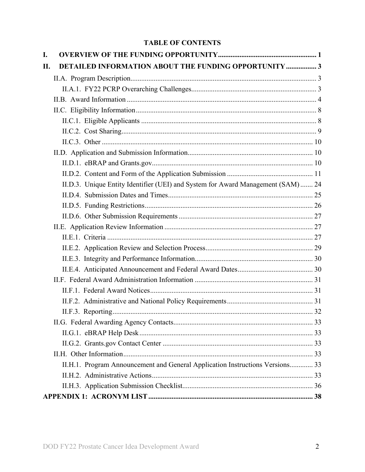## **TABLE OF CONTENTS**

| I. |                                                                                  |  |
|----|----------------------------------------------------------------------------------|--|
| П. | <b>DETAILED INFORMATION ABOUT THE FUNDING OPPORTUNITY  3</b>                     |  |
|    |                                                                                  |  |
|    |                                                                                  |  |
|    |                                                                                  |  |
|    |                                                                                  |  |
|    |                                                                                  |  |
|    |                                                                                  |  |
|    |                                                                                  |  |
|    |                                                                                  |  |
|    |                                                                                  |  |
|    |                                                                                  |  |
|    | II.D.3. Unique Entity Identifier (UEI) and System for Award Management (SAM)  24 |  |
|    |                                                                                  |  |
|    |                                                                                  |  |
|    |                                                                                  |  |
|    |                                                                                  |  |
|    |                                                                                  |  |
|    |                                                                                  |  |
|    |                                                                                  |  |
|    |                                                                                  |  |
|    |                                                                                  |  |
|    |                                                                                  |  |
|    |                                                                                  |  |
|    |                                                                                  |  |
|    |                                                                                  |  |
|    |                                                                                  |  |
|    |                                                                                  |  |
|    |                                                                                  |  |
|    | II.H.1. Program Announcement and General Application Instructions Versions 33    |  |
|    |                                                                                  |  |
|    |                                                                                  |  |
|    |                                                                                  |  |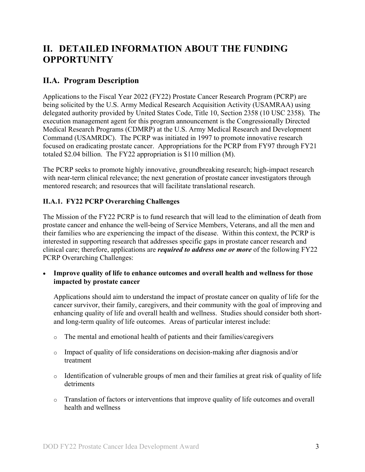# <span id="page-2-0"></span>**II. DETAILED INFORMATION ABOUT THE FUNDING OPPORTUNITY**

## <span id="page-2-1"></span>**II.A. Program Description**

Applications to the Fiscal Year 2022 (FY22) Prostate Cancer Research Program (PCRP) are being solicited by the U.S. Army Medical Research Acquisition Activity (USAMRAA) using delegated authority provided by United States Code, Title 10, Section 2358 (10 USC 2358). The execution management agent for this program announcement is the Congressionally Directed Medical Research Programs (CDMRP) at the U.S. Army Medical Research and Development Command (USAMRDC). The PCRP was initiated in 1997 to promote innovative research focused on eradicating prostate cancer. Appropriations for the PCRP from FY97 through FY21 totaled \$2.04 billion. The FY22 appropriation is \$110 million (M).

The PCRP seeks to promote highly innovative, groundbreaking research; high-impact research with near-term clinical relevance; the next generation of prostate cancer investigators through mentored research; and resources that will facilitate translational research.

## <span id="page-2-2"></span>**II.A.1. FY22 PCRP Overarching Challenges**

The Mission of the FY22 PCRP is to fund research that will lead to the elimination of death from prostate cancer and enhance the well-being of Service Members, Veterans, and all the men and their families who are experiencing the impact of the disease. Within this context, the PCRP is interested in supporting research that addresses specific gaps in prostate cancer research and clinical care; therefore, applications are *required to address one or more* of the following FY22 PCRP Overarching Challenges:

• **Improve quality of life to enhance outcomes and overall health and wellness for those impacted by prostate cancer**

Applications should aim to understand the impact of prostate cancer on quality of life for the cancer survivor, their family, caregivers, and their community with the goal of improving and enhancing quality of life and overall health and wellness. Studies should consider both shortand long-term quality of life outcomes. Areas of particular interest include:

- o The mental and emotional health of patients and their families/caregivers
- o Impact of quality of life considerations on decision-making after diagnosis and/or treatment
- o Identification of vulnerable groups of men and their families at great risk of quality of life detriments
- o Translation of factors or interventions that improve quality of life outcomes and overall health and wellness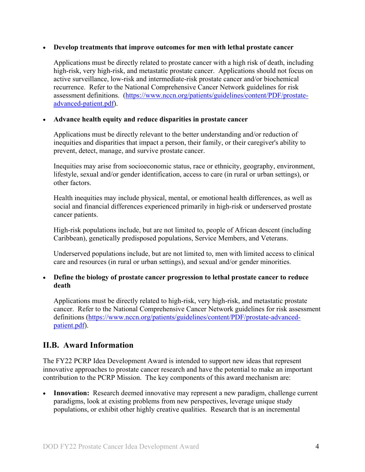#### • **Develop treatments that improve outcomes for men with lethal prostate cancer**

Applications must be directly related to prostate cancer with a high risk of death, including high-risk, very high-risk, and metastatic prostate cancer. Applications should not focus on active surveillance, low-risk and intermediate-risk prostate cancer and/or biochemical recurrence. Refer to the National Comprehensive Cancer Network guidelines for risk assessment definitions. [\(https://www.nccn.org/patients/guidelines/content/PDF/prostate](file://amedmrmcdf001/USAMRMC/CDMRP/Public/Leidos/Leidos%20Business%20(R)/8%20Program%20Teams/PCRP/16-Program%20Announcements/FY21/Template/(https:/www.ncc%20n.org/patients/guidelines/content/PDF/prostate-advanced-patient.pdf)[advanced-patient.pdf\)](file://amedmrmcdf001/USAMRMC/CDMRP/Public/Leidos/Leidos%20Business%20(R)/8%20Program%20Teams/PCRP/16-Program%20Announcements/FY21/Template/(https:/www.ncc%20n.org/patients/guidelines/content/PDF/prostate-advanced-patient.pdf).

#### • **Advance health equity and reduce disparities in prostate cancer**

Applications must be directly relevant to the better understanding and/or reduction of inequities and disparities that impact a person, their family, or their caregiver's ability to prevent, detect, manage, and survive prostate cancer.

Inequities may arise from socioeconomic status, race or ethnicity, geography, environment, lifestyle, sexual and/or gender identification, access to care (in rural or urban settings), or other factors.

Health inequities may include physical, mental, or emotional health differences, as well as social and financial differences experienced primarily in high-risk or underserved prostate cancer patients.

High-risk populations include, but are not limited to, people of African descent (including Caribbean), genetically predisposed populations, Service Members, and Veterans.

Underserved populations include, but are not limited to, men with limited access to clinical care and resources (in rural or urban settings), and sexual and/or gender minorities.

#### • **Define the biology of prostate cancer progression to lethal prostate cancer to reduce death**

Applications must be directly related to high-risk, very high-risk, and metastatic prostate cancer. Refer to the National Comprehensive Cancer Network guidelines for risk assessment definitions [\(https://www.nccn.org/patients/guidelines/content/PDF/prostate-advanced](https://www.nccn.org/patients/guidelines/content/PDF/prostate-advanced-patient.pdf)[patient.pdf\)](https://www.nccn.org/patients/guidelines/content/PDF/prostate-advanced-patient.pdf).

## <span id="page-3-0"></span>**II.B. Award Information**

The FY22 PCRP Idea Development Award is intended to support new ideas that represent innovative approaches to prostate cancer research and have the potential to make an important contribution to the PCRP Mission. The key components of this award mechanism are:

• **Innovation:** Research deemed innovative may represent a new paradigm, challenge current paradigms, look at existing problems from new perspectives, leverage unique study populations, or exhibit other highly creative qualities. Research that is an incremental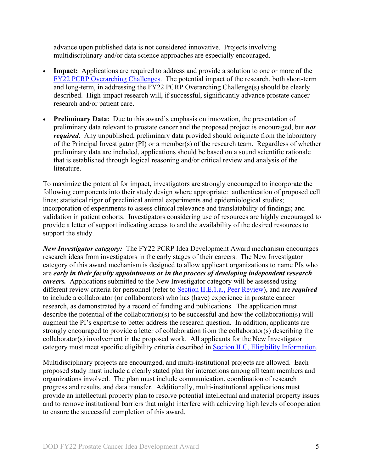advance upon published data is not considered innovative. Projects involving multidisciplinary and/or data science approaches are especially encouraged.

- **Impact:** Applications are required to address and provide a solution to one or more of the [FY22 PCRP Overarching Challenges.](#page-2-2) The potential impact of the research, both short-term and long-term, in addressing the FY22 PCRP Overarching Challenge(s) should be clearly described. High-impact research will, if successful, significantly advance prostate cancer research and/or patient care.
- **Preliminary Data:** Due to this award's emphasis on innovation, the presentation of preliminary data relevant to prostate cancer and the proposed project is encouraged, but *not required*. Any unpublished, preliminary data provided should originate from the laboratory of the Principal Investigator (PI) or a member(s) of the research team. Regardless of whether preliminary data are included, applications should be based on a sound scientific rationale that is established through logical reasoning and/or critical review and analysis of the literature.

To maximize the potential for impact, investigators are strongly encouraged to incorporate the following components into their study design where appropriate: authentication of proposed cell lines; statistical rigor of preclinical animal experiments and epidemiological studies; incorporation of experiments to assess clinical relevance and translatability of findings; and validation in patient cohorts. Investigators considering use of resources are highly encouraged to provide a letter of support indicating access to and the availability of the desired resources to support the study.

*New Investigator category:* The FY22 PCRP Idea Development Award mechanism encourages research ideas from investigators in the early stages of their careers. The New Investigator category of this award mechanism is designed to allow applicant organizations to name PIs who are *early in their faculty appointments or in the process of developing independent research careers.* Applications submitted to the New Investigator category will be assessed using different review criteria for personnel (refer to [Section II.E.1.a., Peer Review\)](#page-26-3), and are *required* to include a collaborator (or collaborators) who has (have) experience in prostate cancer research, as demonstrated by a record of funding and publications. The application must describe the potential of the collaboration(s) to be successful and how the collaboration(s) will augment the PI's expertise to better address the research question. In addition, applicants are strongly encouraged to provide a letter of collaboration from the collaborator(s) describing the collaborator(s) involvement in the proposed work. All applicants for the New Investigator category must meet specific eligibility criteria described in Section [II.C, Eligibility Information.](#page-7-0)

Multidisciplinary projects are encouraged, and multi-institutional projects are allowed. Each proposed study must include a clearly stated plan for interactions among all team members and organizations involved. The plan must include communication, coordination of research progress and results, and data transfer. Additionally, multi-institutional applications must provide an intellectual property plan to resolve potential intellectual and material property issues and to remove institutional barriers that might interfere with achieving high levels of cooperation to ensure the successful completion of this award.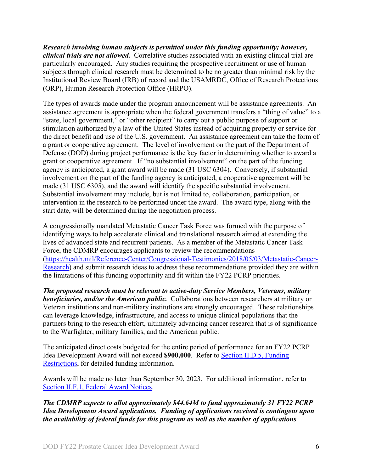*Research involving human subjects is permitted under this funding opportunity; however, clinical trials are not allowed.* Correlative studies associated with an existing clinical trial are particularly encouraged. Any studies requiring the prospective recruitment or use of human subjects through clinical research must be determined to be no greater than minimal risk by the Institutional Review Board (IRB) of record and the USAMRDC, Office of Research Protections (ORP), Human Research Protection Office (HRPO).

The types of awards made under the program announcement will be assistance agreements. An assistance agreement is appropriate when the federal government transfers a "thing of value" to a "state, local government," or "other recipient" to carry out a public purpose of support or stimulation authorized by a law of the United States instead of acquiring property or service for the direct benefit and use of the U.S. government. An assistance agreement can take the form of a grant or cooperative agreement. The level of involvement on the part of the Department of Defense (DOD) during project performance is the key factor in determining whether to award a grant or cooperative agreement. If "no substantial involvement" on the part of the funding agency is anticipated, a grant award will be made (31 USC 6304). Conversely, if substantial involvement on the part of the funding agency is anticipated, a cooperative agreement will be made (31 USC 6305), and the award will identify the specific substantial involvement. Substantial involvement may include, but is not limited to, collaboration, participation, or intervention in the research to be performed under the award. The award type, along with the start date, will be determined during the negotiation process.

A congressionally mandated Metastatic Cancer Task Force was formed with the purpose of identifying ways to help accelerate clinical and translational research aimed at extending the lives of advanced state and recurrent patients. As a member of the Metastatic Cancer Task Force, the CDMRP encourages applicants to review the recommendations [\(https://health.mil/Reference-Center/Congressional-Testimonies/2018/05/03/Metastatic-Cancer-](https://health.mil/Reference-Center/Congressional-Testimonies/2018/05/03/Metastatic-Cancer-Research)[Research\)](https://health.mil/Reference-Center/Congressional-Testimonies/2018/05/03/Metastatic-Cancer-Research) and submit research ideas to address these recommendations provided they are within the limitations of this funding opportunity and fit within the FY22 PCRP priorities.

*The proposed research must be relevant to active-duty Service Members, Veterans, military beneficiaries, and/or the American public.* Collaborations between researchers at military or Veteran institutions and non-military institutions are strongly encouraged. These relationships can leverage knowledge, infrastructure, and access to unique clinical populations that the partners bring to the research effort, ultimately advancing cancer research that is of significance to the Warfighter, military families, and the American public.

The anticipated direct costs budgeted for the entire period of performance for an FY22 PCRP Idea Development Award will not exceed **\$900,000**. Refer to Section [II.D.5, Funding](#page-25-0)  [Restrictions,](#page-25-0) for detailed funding information.

Awards will be made no later than September 30, 2023. For additional information, refer to [Section II.F.1, Federal Award Notices.](#page-30-1)

*The CDMRP expects to allot approximately \$44.64M to fund approximately 31 FY22 PCRP Idea Development Award applications. Funding of applications received is contingent upon the availability of federal funds for this program as well as the number of applications*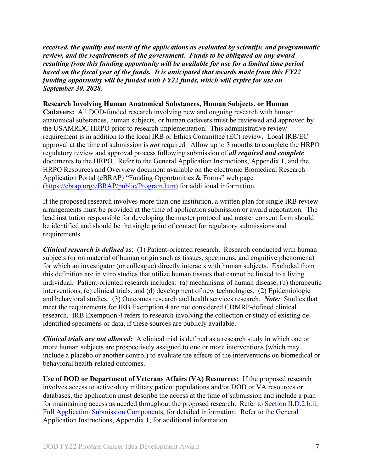*received, the quality and merit of the applications as evaluated by scientific and programmatic review, and the requirements of the government. Funds to be obligated on any award resulting from this funding opportunity will be available for use for a limited time period based on the fiscal year of the funds. It is anticipated that awards made from this FY22 funding opportunity will be funded with FY22 funds, which will expire for use on September 30, 2028.*

#### **Research Involving Human Anatomical Substances, Human Subjects, or Human**

**Cadavers:** All DOD-funded research involving new and ongoing research with human anatomical substances, human subjects, or human cadavers must be reviewed and approved by the USAMRDC HRPO prior to research implementation. This administrative review requirement is in addition to the local IRB or Ethics Committee (EC) review. Local IRB/EC approval at the time of submission is *not* required. Allow up to 3 months to complete the HRPO regulatory review and approval process following submission of *all required and complete* documents to the HRPO. Refer to the General Application Instructions, Appendix 1, and the HRPO Resources and Overview document available on the electronic Biomedical Research Application Portal (eBRAP) "Funding Opportunities & Forms" web page [\(https://ebrap.org/eBRAP/public/Program.htm\)](https://ebrap.org/eBRAP/public/Program.htm) for additional information.

If the proposed research involves more than one institution, a written plan for single IRB review arrangements must be provided at the time of application submission or award negotiation. The lead institution responsible for developing the master protocol and master consent form should be identified and should be the single point of contact for regulatory submissions and requirements.

<span id="page-6-0"></span>*Clinical research is defined* as: (1) Patient-oriented research. Research conducted with human subjects (or on material of human origin such as tissues, specimens, and cognitive phenomena) for which an investigator (or colleague) directly interacts with human subjects. Excluded from this definition are in vitro studies that utilize human tissues that cannot be linked to a living individual. Patient-oriented research includes: (a) mechanisms of human disease, (b) therapeutic interventions, (c) clinical trials, and (d) development of new technologies. (2) Epidemiologic and behavioral studies. (3) Outcomes research and health services research. *Note:* Studies that meet the requirements for IRB Exemption 4 are not considered CDMRP-defined clinical research. IRB Exemption 4 refers to research involving the collection or study of existing deidentified specimens or data, if these sources are publicly available.

*Clinical trials are not allowed:* A clinical trial is defined as a research study in which one or more human subjects are prospectively assigned to one or more interventions (which may include a placebo or another control) to evaluate the effects of the interventions on biomedical or behavioral health-related outcomes.

**Use of DOD or Department of Veterans Affairs (VA) Resources:** If the proposed research involves access to active-duty military patient populations and/or DOD or VA resources or databases, the application must describe the access at the time of submission and include a plan for maintaining access as needed throughout the proposed research. Refer to Section [II.D.2.b.ii,](#page-14-0)  [Full Application Submission Components,](#page-14-0) for detailed information. Refer to the General Application Instructions, Appendix 1, for additional information.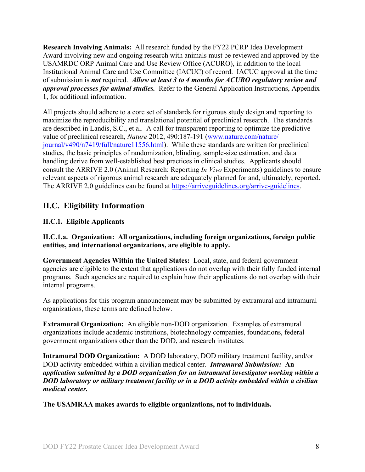**Research Involving Animals:** All research funded by the FY22 PCRP Idea Development Award involving new and ongoing research with animals must be reviewed and approved by the USAMRDC ORP Animal Care and Use Review Office (ACURO), in addition to the local Institutional Animal Care and Use Committee (IACUC) of record. IACUC approval at the time of submission is *not* required. *Allow at least 3 to 4 months for ACURO regulatory review and approval processes for animal studies.* Refer to the General Application Instructions, Appendix 1, for additional information.

All projects should adhere to a core set of standards for rigorous study design and reporting to maximize the reproducibility and translational potential of preclinical research. The standards are described in Landis, S.C., et al. A call for transparent reporting to optimize the predictive value of preclinical research, *Nature* 2012, 490:187-191 [\(www.nature.com/nature/](http://www.nature.com/nature/journal/v490/n7419/full/nature11556.html) [journal/v490/n7419/full/nature11556.html\)](http://www.nature.com/nature/journal/v490/n7419/full/nature11556.html). While these standards are written for preclinical studies, the basic principles of randomization, blinding, sample-size estimation, and data handling derive from well-established best practices in clinical studies. Applicants should consult the ARRIVE 2.0 (Animal Research: Reporting *In Vivo* Experiments) guidelines to ensure relevant aspects of rigorous animal research are adequately planned for and, ultimately, reported. The ARRIVE 2.0 guidelines can be found at [https://arriveguidelines.org/arrive-guidelines.](https://arriveguidelines.org/arrive-guidelines)

## <span id="page-7-0"></span>**II.C. Eligibility Information**

### <span id="page-7-1"></span>**II.C.1. Eligible Applicants**

**II.C.1.a. Organization: All organizations, including foreign organizations, foreign public entities, and international organizations, are eligible to apply.** 

**Government Agencies Within the United States:** Local, state, and federal government agencies are eligible to the extent that applications do not overlap with their fully funded internal programs. Such agencies are required to explain how their applications do not overlap with their internal programs.

As applications for this program announcement may be submitted by extramural and intramural organizations, these terms are defined below.

**Extramural Organization:** An eligible non-DOD organization. Examples of extramural organizations include academic institutions, biotechnology companies, foundations, federal government organizations other than the DOD, and research institutes.

**Intramural DOD Organization:** A DOD laboratory, DOD military treatment facility, and/or DOD activity embedded within a civilian medical center. *Intramural Submission:* **An**  *application submitted by a DOD organization for an intramural investigator working within a DOD laboratory or military treatment facility or in a DOD activity embedded within a civilian medical center.*

**The USAMRAA makes awards to eligible organizations, not to individuals.**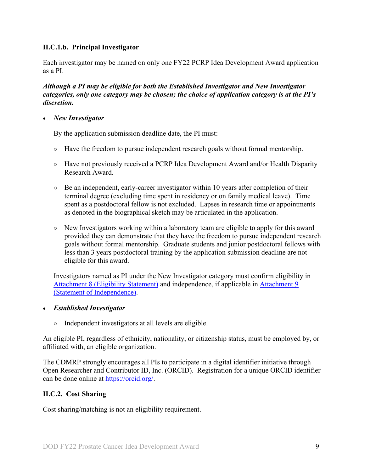### **II.C.1.b. Principal Investigator**

Each investigator may be named on only one FY22 PCRP Idea Development Award application as a PI.

*Although a PI may be eligible for both the Established Investigator and New Investigator categories, only one category may be chosen; the choice of application category is at the PI's discretion.*

• *New Investigator*

By the application submission deadline date, the PI must:

- Have the freedom to pursue independent research goals without formal mentorship.
- Have not previously received a PCRP Idea Development Award and/or Health Disparity Research Award.
- Be an independent, early-career investigator within 10 years after completion of their terminal degree (excluding time spent in residency or on family medical leave). Time spent as a postdoctoral fellow is not excluded. Lapses in research time or appointments as denoted in the biographical sketch may be articulated in the application.
- New Investigators working within a laboratory team are eligible to apply for this award provided they can demonstrate that they have the freedom to pursue independent research goals without formal mentorship. Graduate students and junior postdoctoral fellows with less than 3 years postdoctoral training by the application submission deadline are not eligible for this award.

Investigators named as PI under the New Investigator category must confirm eligibility in [Attachment 8 \(Eligibility Statement\)](#page-20-0) and independence, if applicable in [Attachment 9](#page-21-0)  [\(Statement of Independence\).](#page-21-0)

- *Established Investigator*
	- Independent investigators at all levels are eligible.

An eligible PI, regardless of ethnicity, nationality, or citizenship status, must be employed by, or affiliated with, an eligible organization.

The CDMRP strongly encourages all PIs to participate in a digital identifier initiative through Open Researcher and Contributor ID, Inc. (ORCID). Registration for a unique ORCID identifier can be done online at [https://orcid.org/.](https://orcid.org/)

#### <span id="page-8-0"></span>**II.C.2. Cost Sharing**

Cost sharing/matching is not an eligibility requirement.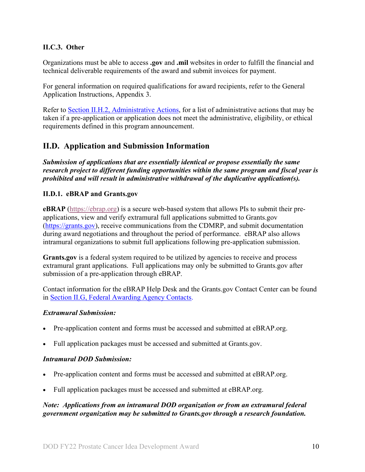#### <span id="page-9-0"></span>**II.C.3. Other**

Organizations must be able to access **.gov** and **.mil** websites in order to fulfill the financial and technical deliverable requirements of the award and submit invoices for payment.

For general information on required qualifications for award recipients, refer to the General Application Instructions, Appendix 3.

Refer to [Section II.H.2, Administrative Actions,](#page-32-5) for a list of administrative actions that may be taken if a pre-application or application does not meet the administrative, eligibility, or ethical requirements defined in this program announcement.

## <span id="page-9-1"></span>**II.D. Application and Submission Information**

*Submission of applications that are essentially identical or propose essentially the same research project to different funding opportunities within the same program and fiscal year is prohibited and will result in administrative withdrawal of the duplicative application(s).*

### <span id="page-9-2"></span>**II.D.1. eBRAP and Grants.gov**

**eBRAP** [\(https://ebrap.org\)](https://ebrap.org/) is a secure web-based system that allows PIs to submit their preapplications, view and verify extramural full applications submitted to Grants.gov [\(https://grants.gov\)](https://grants.gov/), receive communications from the CDMRP, and submit documentation during award negotiations and throughout the period of performance. eBRAP also allows intramural organizations to submit full applications following pre-application submission.

**Grants.gov** is a federal system required to be utilized by agencies to receive and process extramural grant applications. Full applications may only be submitted to Grants.gov after submission of a pre-application through eBRAP.

Contact information for the eBRAP Help Desk and the Grants.gov Contact Center can be found in [Section II.G, Federal Awarding Agency Contacts.](#page-32-0)

#### *Extramural Submission:*

- Pre-application content and forms must be accessed and submitted at eBRAP.org.
- Full application packages must be accessed and submitted at Grants.gov.

#### *Intramural DOD Submission:*

- Pre-application content and forms must be accessed and submitted at eBRAP.org.
- Full application packages must be accessed and submitted at eBRAP.org.

#### *Note: Applications from an intramural DOD organization or from an extramural federal government organization may be submitted to Grants.gov through a research foundation.*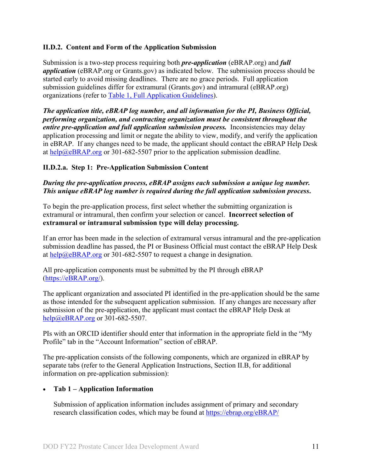### <span id="page-10-0"></span>**II.D.2. Content and Form of the Application Submission**

Submission is a two-step process requiring both *pre-application* (eBRAP.org) and *full application* (eBRAP.org or Grants.gov) as indicated below. The submission process should be started early to avoid missing deadlines. There are no grace periods. Full application submission guidelines differ for extramural (Grants.gov) and intramural (eBRAP.org) organizations (refer to [Table 1, Full Application Guidelines\)](#page-12-0).

*The application title, eBRAP log number, and all information for the PI, Business Official, performing organization, and contracting organization must be consistent throughout the entire pre-application and full application submission process.* Inconsistencies may delay application processing and limit or negate the ability to view, modify, and verify the application in eBRAP. If any changes need to be made, the applicant should contact the eBRAP Help Desk at [help@eBRAP.org](mailto:help@eBRAP.org) or 301-682-5507 prior to the application submission deadline.

### **II.D.2.a. Step 1: Pre-Application Submission Content**

### *During the pre-application process, eBRAP assigns each submission a unique log number. This unique eBRAP log number is required during the full application submission process***.**

To begin the pre-application process, first select whether the submitting organization is extramural or intramural, then confirm your selection or cancel. **Incorrect selection of extramural or intramural submission type will delay processing.**

If an error has been made in the selection of extramural versus intramural and the pre-application submission deadline has passed, the PI or Business Official must contact the eBRAP Help Desk at [help@eBRAP.org](mailto:help@eBRAP.org) or 301-682-5507 to request a change in designation.

All pre-application components must be submitted by the PI through eBRAP [\(https://eBRAP.org/\)](https://ebrap.org/).

The applicant organization and associated PI identified in the pre-application should be the same as those intended for the subsequent application submission. If any changes are necessary after submission of the pre-application, the applicant must contact the eBRAP Help Desk at [help@eBRAP.org](mailto:help@eBRAP.org) or 301-682-5507.

PIs with an ORCID identifier should enter that information in the appropriate field in the "My Profile" tab in the "Account Information" section of eBRAP.

The pre-application consists of the following components, which are organized in eBRAP by separate tabs (refer to the General Application Instructions, Section II.B, for additional information on pre-application submission):

#### • **Tab 1 – Application Information**

Submission of application information includes assignment of primary and secondary research classification codes, which may be found at [https://ebrap.org/eBRAP/](https://ebrap.org/eBRAP/public/Program.htm)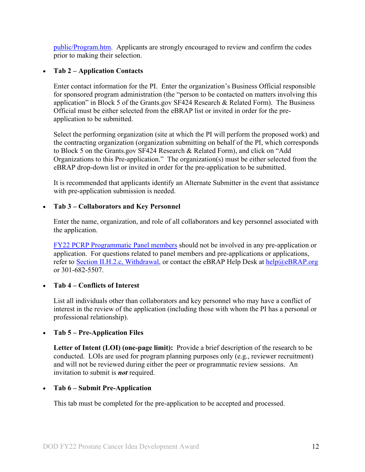[public/Program.htm.](https://ebrap.org/eBRAP/public/Program.htm) Applicants are strongly encouraged to review and confirm the codes prior to making their selection.

#### • **Tab 2 – Application Contacts**

Enter contact information for the PI. Enter the organization's Business Official responsible for sponsored program administration (the "person to be contacted on matters involving this application" in Block 5 of the Grants.gov SF424 Research & Related Form). The Business Official must be either selected from the eBRAP list or invited in order for the preapplication to be submitted.

Select the performing organization (site at which the PI will perform the proposed work) and the contracting organization (organization submitting on behalf of the PI, which corresponds to Block 5 on the Grants.gov SF424 Research & Related Form), and click on "Add Organizations to this Pre-application." The organization(s) must be either selected from the eBRAP drop-down list or invited in order for the pre-application to be submitted.

It is recommended that applicants identify an Alternate Submitter in the event that assistance with pre-application submission is needed.

#### • **Tab 3 – Collaborators and Key Personnel**

Enter the name, organization, and role of all collaborators and key personnel associated with the application.

[FY22 PCRP Programmatic Panel members](https://cdmrp.army.mil/pcrp/panels/panel22) should not be involved in any pre-application or application. For questions related to panel members and pre-applications or applications, refer to [Section II.H.2.c, Withdrawal,](#page-33-0) or contact the eBRAP Help Desk at [help@eBRAP.org](mailto:help@eBRAP.org) or 301-682-5507.

#### • **Tab 4 – Conflicts of Interest**

List all individuals other than collaborators and key personnel who may have a conflict of interest in the review of the application (including those with whom the PI has a personal or professional relationship).

#### • **Tab 5 – Pre-Application Files**

**Letter of Intent (LOI) (one-page limit):** Provide a brief description of the research to be conducted. LOIs are used for program planning purposes only (e.g., reviewer recruitment) and will not be reviewed during either the peer or programmatic review sessions. An invitation to submit is *not* required.

#### • **Tab 6 – Submit Pre-Application**

This tab must be completed for the pre-application to be accepted and processed.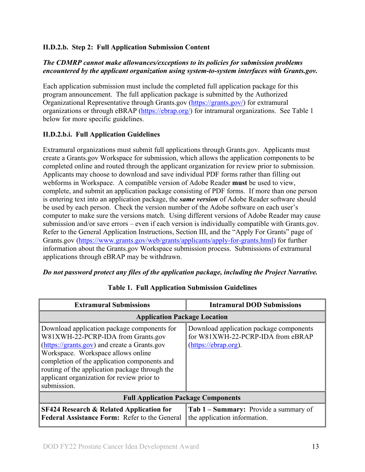### **II.D.2.b. Step 2: Full Application Submission Content**

### *The CDMRP cannot make allowances/exceptions to its policies for submission problems encountered by the applicant organization using system-to-system interfaces with Grants.gov.*

Each application submission must include the completed full application package for this program announcement. The full application package is submitted by the Authorized Organizational Representative through Grants.gov [\(https://grants.gov/\)](https://www.grants.gov/) for extramural organizations or through eBRAP [\(https://ebrap.org/\)](https://ebrap.org/) for intramural organizations. See Table 1 below for more specific guidelines.

### **II.D.2.b.i. Full Application Guidelines**

Extramural organizations must submit full applications through Grants.gov. Applicants must create a Grants.gov Workspace for submission, which allows the application components to be completed online and routed through the applicant organization for review prior to submission. Applicants may choose to download and save individual PDF forms rather than filling out webforms in Workspace. A compatible version of Adobe Reader **must** be used to view, complete, and submit an application package consisting of PDF forms. If more than one person is entering text into an application package, the *same version* of Adobe Reader software should be used by each person. Check the version number of the Adobe software on each user's computer to make sure the versions match. Using different versions of Adobe Reader may cause submission and/or save errors – even if each version is individually compatible with Grants.gov. Refer to the General Application Instructions, Section III, and the "Apply For Grants" page of Grants.gov [\(https://www.grants.gov/web/grants/applicants/apply-for-grants.html\)](https://www.grants.gov/web/grants/applicants/apply-for-grants.html) for further information about the Grants.gov Workspace submission process. Submissions of extramural applications through eBRAP may be withdrawn.

#### *Do not password protect any files of the application package, including the Project Narrative.*

<span id="page-12-0"></span>

| <b>Extramural Submissions</b>                                                                                                                                                                                                                                                                                                          | <b>Intramural DOD Submissions</b>                                                                    |  |
|----------------------------------------------------------------------------------------------------------------------------------------------------------------------------------------------------------------------------------------------------------------------------------------------------------------------------------------|------------------------------------------------------------------------------------------------------|--|
| <b>Application Package Location</b>                                                                                                                                                                                                                                                                                                    |                                                                                                      |  |
| Download application package components for<br>W81XWH-22-PCRP-IDA from Grants.gov<br>(https://grants.gov) and create a Grants.gov<br>Workspace. Workspace allows online<br>completion of the application components and<br>routing of the application package through the<br>applicant organization for review prior to<br>submission. | Download application package components<br>for W81XWH-22-PCRP-IDA from eBRAP<br>(https://ebrap.org). |  |
| <b>Full Application Package Components</b>                                                                                                                                                                                                                                                                                             |                                                                                                      |  |
| <b>SF424 Research &amp; Related Application for</b><br>Federal Assistance Form: Refer to the General                                                                                                                                                                                                                                   | Tab 1 - Summary: Provide a summary of<br>the application information.                                |  |

**Table 1. Full Application Submission Guidelines**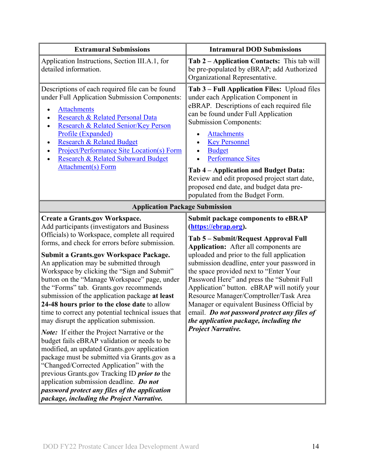| <b>Extramural Submissions</b>                                                                                                                                                                                                                                                                                                                                                                                                                                                                                                                                                                                                                                                                                                                                                                                                                                                                                                                                                                                                                                                         | <b>Intramural DOD Submissions</b>                                                                                                                                                                                                                                                                                                                                                                                                                                                                                                                                                                          |  |
|---------------------------------------------------------------------------------------------------------------------------------------------------------------------------------------------------------------------------------------------------------------------------------------------------------------------------------------------------------------------------------------------------------------------------------------------------------------------------------------------------------------------------------------------------------------------------------------------------------------------------------------------------------------------------------------------------------------------------------------------------------------------------------------------------------------------------------------------------------------------------------------------------------------------------------------------------------------------------------------------------------------------------------------------------------------------------------------|------------------------------------------------------------------------------------------------------------------------------------------------------------------------------------------------------------------------------------------------------------------------------------------------------------------------------------------------------------------------------------------------------------------------------------------------------------------------------------------------------------------------------------------------------------------------------------------------------------|--|
| Application Instructions, Section III.A.1, for<br>detailed information.                                                                                                                                                                                                                                                                                                                                                                                                                                                                                                                                                                                                                                                                                                                                                                                                                                                                                                                                                                                                               | Tab 2 – Application Contacts: This tab will<br>be pre-populated by eBRAP; add Authorized<br>Organizational Representative.                                                                                                                                                                                                                                                                                                                                                                                                                                                                                 |  |
| Descriptions of each required file can be found<br>under Full Application Submission Components:<br><b>Attachments</b><br>$\bullet$<br>Research & Related Personal Data<br>Research & Related Senior/Key Person<br>$\bullet$<br>Profile (Expanded)<br><b>Research &amp; Related Budget</b><br>$\bullet$<br><b>Project/Performance Site Location(s) Form</b><br><b>Research &amp; Related Subaward Budget</b><br><b>Attachment(s)</b> Form                                                                                                                                                                                                                                                                                                                                                                                                                                                                                                                                                                                                                                             | Tab 3 – Full Application Files: Upload files<br>under each Application Component in<br>eBRAP. Descriptions of each required file<br>can be found under Full Application<br><b>Submission Components:</b><br><b>Attachments</b><br><b>Key Personnel</b><br><b>Budget</b><br><b>Performance Sites</b><br>Tab 4 – Application and Budget Data:<br>Review and edit proposed project start date,<br>proposed end date, and budget data pre-<br>populated from the Budget Form.                                                                                                                                  |  |
| <b>Application Package Submission</b>                                                                                                                                                                                                                                                                                                                                                                                                                                                                                                                                                                                                                                                                                                                                                                                                                                                                                                                                                                                                                                                 |                                                                                                                                                                                                                                                                                                                                                                                                                                                                                                                                                                                                            |  |
| <b>Create a Grants.gov Workspace.</b><br>Add participants (investigators and Business<br>Officials) to Workspace, complete all required<br>forms, and check for errors before submission.<br><b>Submit a Grants.gov Workspace Package.</b><br>An application may be submitted through<br>Workspace by clicking the "Sign and Submit"<br>button on the "Manage Workspace" page, under<br>the "Forms" tab. Grants.gov recommends<br>submission of the application package at least<br>24-48 hours prior to the close date to allow<br>time to correct any potential technical issues that<br>may disrupt the application submission.<br><b>Note:</b> If either the Project Narrative or the<br>budget fails eBRAP validation or needs to be<br>modified, an updated Grants.gov application<br>package must be submitted via Grants.gov as a<br>"Changed/Corrected Application" with the<br>previous Grants.gov Tracking ID <i>prior to</i> the<br>application submission deadline. Do not<br>password protect any files of the application<br>package, including the Project Narrative. | <b>Submit package components to eBRAP</b><br>(https://ebrap.org).<br>Tab 5 - Submit/Request Approval Full<br><b>Application:</b> After all components are<br>uploaded and prior to the full application<br>submission deadline, enter your password in<br>the space provided next to "Enter Your<br>Password Here" and press the "Submit Full<br>Application" button. eBRAP will notify your<br>Resource Manager/Comptroller/Task Area<br>Manager or equivalent Business Official by<br>email. Do not password protect any files of<br>the application package, including the<br><b>Project Narrative.</b> |  |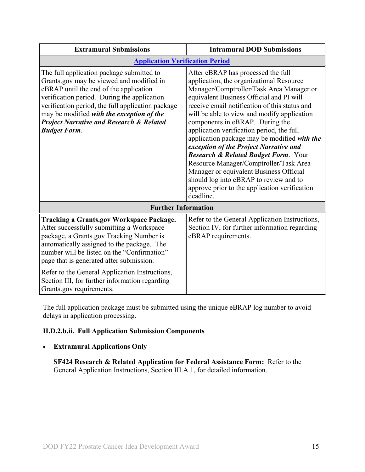| <b>Extramural Submissions</b>                                                                                                                                                                                                                                                                                                                                  | <b>Intramural DOD Submissions</b>                                                                                                                                                                                                                                                                                                                                                                                                                                                                                                                                                                                                                                                     |
|----------------------------------------------------------------------------------------------------------------------------------------------------------------------------------------------------------------------------------------------------------------------------------------------------------------------------------------------------------------|---------------------------------------------------------------------------------------------------------------------------------------------------------------------------------------------------------------------------------------------------------------------------------------------------------------------------------------------------------------------------------------------------------------------------------------------------------------------------------------------------------------------------------------------------------------------------------------------------------------------------------------------------------------------------------------|
| <b>Application Verification Period</b>                                                                                                                                                                                                                                                                                                                         |                                                                                                                                                                                                                                                                                                                                                                                                                                                                                                                                                                                                                                                                                       |
| The full application package submitted to<br>Grants.gov may be viewed and modified in<br>eBRAP until the end of the application<br>verification period. During the application<br>verification period, the full application package<br>may be modified with the exception of the<br><b>Project Narrative and Research &amp; Related</b><br><b>Budget Form.</b> | After eBRAP has processed the full<br>application, the organizational Resource<br>Manager/Comptroller/Task Area Manager or<br>equivalent Business Official and PI will<br>receive email notification of this status and<br>will be able to view and modify application<br>components in eBRAP. During the<br>application verification period, the full<br>application package may be modified with the<br>exception of the Project Narrative and<br>Research & Related Budget Form. Your<br>Resource Manager/Comptroller/Task Area<br>Manager or equivalent Business Official<br>should log into eBRAP to review and to<br>approve prior to the application verification<br>deadline. |
| <b>Further Information</b>                                                                                                                                                                                                                                                                                                                                     |                                                                                                                                                                                                                                                                                                                                                                                                                                                                                                                                                                                                                                                                                       |
| <b>Tracking a Grants.gov Workspace Package.</b><br>After successfully submitting a Workspace<br>package, a Grants.gov Tracking Number is<br>automatically assigned to the package. The<br>number will be listed on the "Confirmation"<br>page that is generated after submission.<br>Refer to the General Application Instructions,                            | Refer to the General Application Instructions,<br>Section IV, for further information regarding<br>eBRAP requirements.                                                                                                                                                                                                                                                                                                                                                                                                                                                                                                                                                                |
| Section III, for further information regarding<br>Grants.gov requirements.                                                                                                                                                                                                                                                                                     |                                                                                                                                                                                                                                                                                                                                                                                                                                                                                                                                                                                                                                                                                       |

The full application package must be submitted using the unique eBRAP log number to avoid delays in application processing.

## <span id="page-14-0"></span>**II.D.2.b.ii. Full Application Submission Components**

### • **Extramural Applications Only**

**SF424 Research & Related Application for Federal Assistance Form:** Refer to the General Application Instructions, Section III.A.1, for detailed information.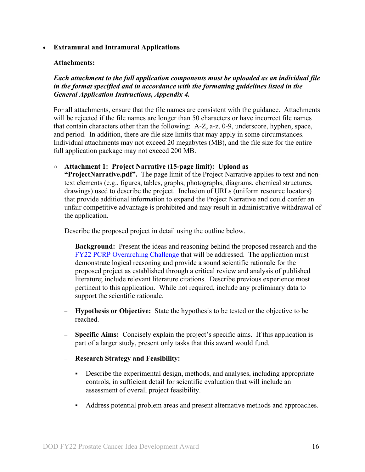#### • **Extramural and Intramural Applications**

#### <span id="page-15-0"></span>**Attachments:**

*Each attachment to the full application components must be uploaded as an individual file in the format specified and in accordance with the formatting guidelines listed in the General Application Instructions, Appendix 4.* 

For all attachments, ensure that the file names are consistent with the guidance. Attachments will be rejected if the file names are longer than 50 characters or have incorrect file names that contain characters other than the following: A-Z, a-z, 0-9, underscore, hyphen, space, and period. In addition, there are file size limits that may apply in some circumstances. Individual attachments may not exceed 20 megabytes (MB), and the file size for the entire full application package may not exceed 200 MB.

○ **Attachment 1: Project Narrative (15-page limit): Upload as** 

**"ProjectNarrative.pdf".** The page limit of the Project Narrative applies to text and nontext elements (e.g., figures, tables, graphs, photographs, diagrams, chemical structures, drawings) used to describe the project. Inclusion of URLs (uniform resource locators) that provide additional information to expand the Project Narrative and could confer an unfair competitive advantage is prohibited and may result in administrative withdrawal of the application.

Describe the proposed project in detail using the outline below.

- **Background:** Present the ideas and reasoning behind the proposed research and the [FY22 PCRP Overarching Challenge](#page-2-2) that will be addressed. The application must demonstrate logical reasoning and provide a sound scientific rationale for the proposed project as established through a critical review and analysis of published literature; include relevant literature citations. Describe previous experience most pertinent to this application. While not required, include any preliminary data to support the scientific rationale.
- **Hypothesis or Objective:** State the hypothesis to be tested or the objective to be reached.
- **Specific Aims:** Concisely explain the project's specific aims. If this application is part of a larger study, present only tasks that this award would fund.
- **Research Strategy and Feasibility:**
	- Describe the experimental design, methods, and analyses, including appropriate controls, in sufficient detail for scientific evaluation that will include an assessment of overall project feasibility.
	- Address potential problem areas and present alternative methods and approaches.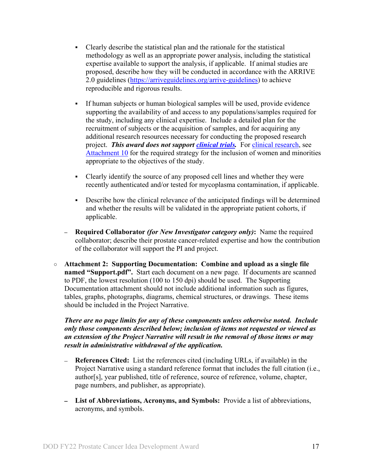- Clearly describe the statistical plan and the rationale for the statistical methodology as well as an appropriate power analysis, including the statistical expertise available to support the analysis, if applicable. If animal studies are proposed, describe how they will be conducted in accordance with the ARRIVE 2.0 guidelines [\(https://arriveguidelines.org/arrive-guidelines\)](https://arriveguidelines.org/arrive-guidelines) to achieve reproducible and rigorous results.
- If human subjects or human biological samples will be used, provide evidence supporting the availability of and access to any populations/samples required for the study, including any clinical expertise. Include a detailed plan for the recruitment of subjects or the acquisition of samples, and for acquiring any additional research resources necessary for conducting the proposed research project. *This award does not support [clinical trials.](#page-6-0)* For [clinical research,](#page-6-0) see [Attachment 10](#page-21-1) for the required strategy for the inclusion of women and minorities appropriate to the objectives of the study.
- Clearly identify the source of any proposed cell lines and whether they were recently authenticated and/or tested for mycoplasma contamination, if applicable.
- Describe how the clinical relevance of the anticipated findings will be determined and whether the results will be validated in the appropriate patient cohorts, if applicable.
- **– Required Collaborator** *(for New Investigator category only)***:** Name the required collaborator; describe their prostate cancer-related expertise and how the contribution of the collaborator will support the PI and project.
- **Attachment 2: Supporting Documentation: Combine and upload as a single file named "Support.pdf".** Start each document on a new page. If documents are scanned to PDF, the lowest resolution (100 to 150 dpi) should be used. The Supporting Documentation attachment should not include additional information such as figures, tables, graphs, photographs, diagrams, chemical structures, or drawings. These items should be included in the Project Narrative.

*There are no page limits for any of these components unless otherwise noted. Include only those components described below; inclusion of items not requested or viewed as an extension of the Project Narrative will result in the removal of those items or may result in administrative withdrawal of the application.*

- **References Cited:** List the references cited (including URLs, if available) in the Project Narrative using a standard reference format that includes the full citation (i.e., author[s], year published, title of reference, source of reference, volume, chapter, page numbers, and publisher, as appropriate).
- **List of Abbreviations, Acronyms, and Symbols:** Provide a list of abbreviations, acronyms, and symbols.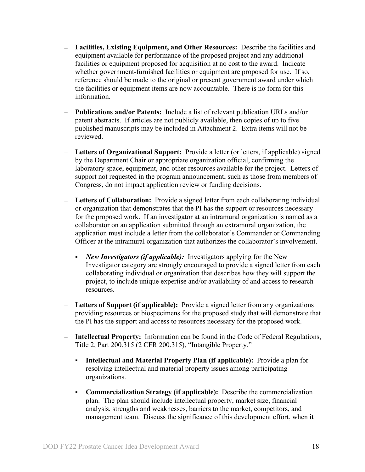- **Facilities, Existing Equipment, and Other Resources:** Describe the facilities and equipment available for performance of the proposed project and any additional facilities or equipment proposed for acquisition at no cost to the award. Indicate whether government-furnished facilities or equipment are proposed for use. If so, reference should be made to the original or present government award under which the facilities or equipment items are now accountable. There is no form for this information.
- **Publications and/or Patents:** Include a list of relevant publication URLs and/or patent abstracts. If articles are not publicly available, then copies of up to five published manuscripts may be included in Attachment 2. Extra items will not be reviewed.
- **Letters of Organizational Support:** Provide a letter (or letters, if applicable) signed by the Department Chair or appropriate organization official, confirming the laboratory space, equipment, and other resources available for the project. Letters of support not requested in the program announcement, such as those from members of Congress, do not impact application review or funding decisions.
- **Letters of Collaboration:** Provide a signed letter from each collaborating individual or organization that demonstrates that the PI has the support or resources necessary for the proposed work. If an investigator at an intramural organization is named as a collaborator on an application submitted through an extramural organization, the application must include a letter from the collaborator's Commander or Commanding Officer at the intramural organization that authorizes the collaborator's involvement.
	- *New Investigators (if applicable):* Investigators applying for the New Investigator category are strongly encouraged to provide a signed letter from each collaborating individual or organization that describes how they will support the project, to include unique expertise and/or availability of and access to research resources.
- **Letters of Support (if applicable):** Provide a signed letter from any organizations providing resources or biospecimens for the proposed study that will demonstrate that the PI has the support and access to resources necessary for the proposed work.
- $\equiv$ **Intellectual Property:** Information can be found in the Code of Federal Regulations, Title 2, Part 200.315 (2 CFR 200.315), "Intangible Property."
	- **Intellectual and Material Property Plan (if applicable):** Provide a plan for resolving intellectual and material property issues among participating organizations.
	- **Commercialization Strategy (if applicable):** Describe the commercialization plan. The plan should include intellectual property, market size, financial analysis, strengths and weaknesses, barriers to the market, competitors, and management team. Discuss the significance of this development effort, when it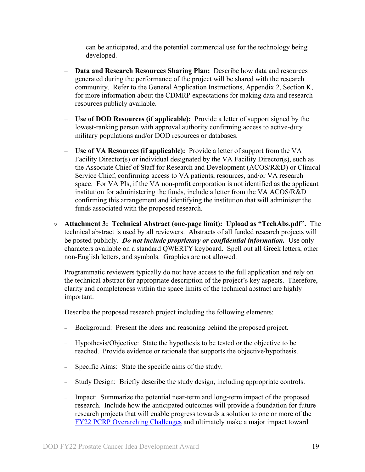can be anticipated, and the potential commercial use for the technology being developed.

- **Data and Research Resources Sharing Plan:** Describe how data and resources generated during the performance of the project will be shared with the research community. Refer to the General Application Instructions, Appendix 2, Section K, for more information about the CDMRP expectations for making data and research resources publicly available.
- **Use of DOD Resources (if applicable):** Provide a letter of support signed by the  $\frac{1}{2}$ lowest-ranking person with approval authority confirming access to active-duty military populations and/or DOD resources or databases.
- **Use of VA Resources (if applicable):** Provide a letter of support from the VA Facility Director(s) or individual designated by the VA Facility Director(s), such as the Associate Chief of Staff for Research and Development (ACOS/R&D) or Clinical Service Chief, confirming access to VA patients, resources, and/or VA research space. For VA PIs, if the VA non-profit corporation is not identified as the applicant institution for administering the funds, include a letter from the VA ACOS/R&D confirming this arrangement and identifying the institution that will administer the funds associated with the proposed research.
- **Attachment 3: Technical Abstract (one-page limit): Upload as "TechAbs.pdf".** The technical abstract is used by all reviewers. Abstracts of all funded research projects will be posted publicly. *Do not include proprietary or confidential information.* Use only characters available on a standard QWERTY keyboard. Spell out all Greek letters, other non-English letters, and symbols. Graphics are not allowed.

Programmatic reviewers typically do not have access to the full application and rely on the technical abstract for appropriate description of the project's key aspects. Therefore, clarity and completeness within the space limits of the technical abstract are highly important.

Describe the proposed research project including the following elements:

- Background: Present the ideas and reasoning behind the proposed project.
- <sup>−</sup> Hypothesis/Objective: State the hypothesis to be tested or the objective to be reached. Provide evidence or rationale that supports the objective/hypothesis.
- Specific Aims: State the specific aims of the study.
- Study Design: Briefly describe the study design, including appropriate controls.
- <sup>−</sup> Impact: Summarize the potential near-term and long-term impact of the proposed research. Include how the anticipated outcomes will provide a foundation for future research projects that will enable progress towards a solution to one or more of the FY22 [PCRP Overarching Challenges](#page-2-2) and ultimately make a major impact toward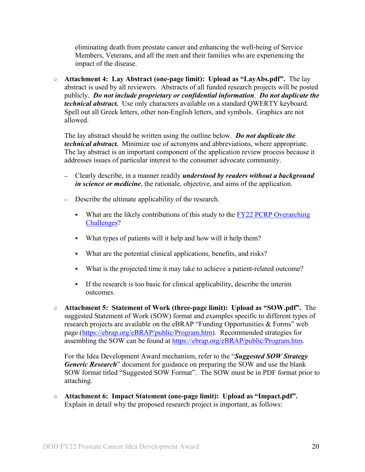eliminating death from prostate cancer and enhancing the well-being of Service Members, Veterans, and all the men and their families who are experiencing the impact of the disease.

○ **Attachment 4: Lay Abstract (one-page limit): Upload as "LayAbs.pdf".** The lay abstract is used by all reviewers. Abstracts of all funded research projects will be posted publicly. *Do not include proprietary or confidential information*. *Do not duplicate the technical abstract.* Use only characters available on a standard QWERTY keyboard. Spell out all Greek letters, other non-English letters, and symbols. Graphics are not allowed.

The lay abstract should be written using the outline below. *Do not duplicate the technical abstract.* Minimize use of acronyms and abbreviations, where appropriate. The lay abstract is an important component of the application review process because it addresses issues of particular interest to the consumer advocate community.

- **–** Clearly describe, in a manner readily *understood by readers without a background in science or medicine*, the rationale, objective, and aims of the application.
- **–** Describe the ultimate applicability of the research.
	- What are the likely contributions of this study to the  $FY22$  PCRP Overarching [Challenges?](#page-2-2)
	- What types of patients will it help and how will it help them?
	- What are the potential clinical applications, benefits, and risks?
	- What is the projected time it may take to achieve a patient-related outcome?
	- If the research is too basic for clinical applicability, describe the interim outcomes.
- **Attachment 5: Statement of Work (three-page limit): Upload as "SOW.pdf".** The suggested Statement of Work (SOW) format and examples specific to different types of research projects are available on the eBRAP "Funding Opportunities & Forms" web page [\(https://ebrap.org/eBRAP/public/Program.htm\)](https://ebrap.org/eBRAP/public/Program.htm). Recommended strategies for assembling the SOW can be found at [https://ebrap.org/eBRAP/public/Program.htm.](https://ebrap.org/eBRAP/public/Program.htm)

For the Idea Development Award mechanism, refer to the "*Suggested SOW Strategy Generic Research*" document for guidance on preparing the SOW and use the blank SOW format titled "Suggested SOW Format". The SOW must be in PDF format prior to attaching.

○ **Attachment 6: Impact Statement (one-page limit): Upload as "Impact.pdf".**  Explain in detail why the proposed research project is important, as follows: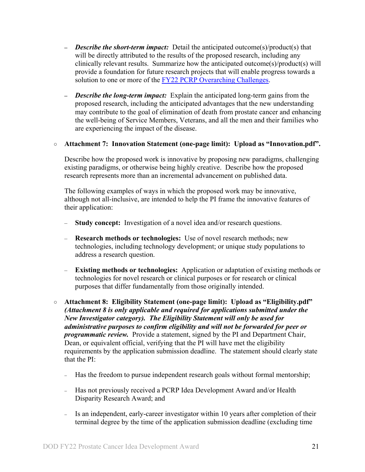- **–** *Describe the short-term impact:* Detail the anticipated outcome(s)/product(s) that will be directly attributed to the results of the proposed research, including any clinically relevant results. Summarize how the anticipated outcome(s)/product(s) will provide a foundation for future research projects that will enable progress towards a solution to one or more of the FY22 [PCRP Overarching Challenges.](#page-2-2)
- **–** *Describe the long-term impact:* Explain the anticipated long-term gains from the proposed research, including the anticipated advantages that the new understanding may contribute to the goal of elimination of death from prostate cancer and enhancing the well-being of Service Members, Veterans, and all the men and their families who are experiencing the impact of the disease.

#### ○ **Attachment 7: Innovation Statement (one-page limit): Upload as "Innovation.pdf".**

Describe how the proposed work is innovative by proposing new paradigms, challenging existing paradigms, or otherwise being highly creative. Describe how the proposed research represents more than an incremental advancement on published data.

The following examples of ways in which the proposed work may be innovative, although not all-inclusive, are intended to help the PI frame the innovative features of their application:

- **Study concept:** Investigation of a novel idea and/or research questions.
- **Research methods or technologies:** Use of novel research methods; new technologies, including technology development; or unique study populations to address a research question.
- **Existing methods or technologies:** Application or adaptation of existing methods or technologies for novel research or clinical purposes or for research or clinical purposes that differ fundamentally from those originally intended.
- <span id="page-20-0"></span>○ **Attachment 8: Eligibility Statement (one-page limit): Upload as "Eligibility.pdf"** *(Attachment 8 is only applicable and required for applications submitted under the New Investigator category). The Eligibility Statement will only be used for administrative purposes to confirm eligibility and will not be forwarded for peer or programmatic review.* Provide a statement, signed by the PI and Department Chair, Dean, or equivalent official, verifying that the PI will have met the eligibility requirements by the application submission deadline. The statement should clearly state that the PI:
	- <sup>−</sup> Has the freedom to pursue independent research goals without formal mentorship;
	- <sup>−</sup> Has not previously received a PCRP Idea Development Award and/or Health Disparity Research Award; and
	- <sup>−</sup> Is an independent, early-career investigator within 10 years after completion of their terminal degree by the time of the application submission deadline (excluding time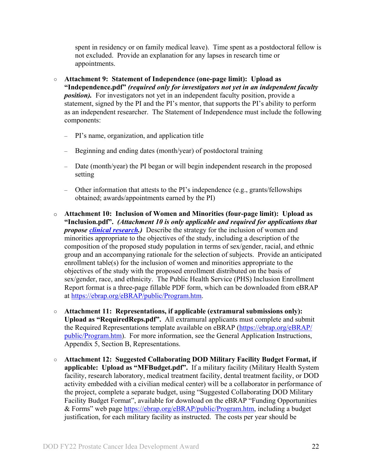spent in residency or on family medical leave). Time spent as a postdoctoral fellow is not excluded. Provide an explanation for any lapses in research time or appointments.

- <span id="page-21-0"></span>○ **Attachment 9: Statement of Independence (one-page limit): Upload as "Independence.pdf"** *(required only for investigators not yet in an independent faculty position*). For investigators not yet in an independent faculty position, provide a statement, signed by the PI and the PI's mentor, that supports the PI's ability to perform as an independent researcher. The Statement of Independence must include the following components:
	- PI's name, organization, and application title
	- Beginning and ending dates (month/year) of postdoctoral training
	- Date (month/year) the PI began or will begin independent research in the proposed setting
	- Other information that attests to the PI's independence (e.g., grants/fellowships obtained; awards/appointments earned by the PI)
- <span id="page-21-1"></span>o **Attachment 10: Inclusion of Women and Minorities (four-page limit): Upload as "Inclusion.pdf".** *(Attachment 10 is only applicable and required for applications that propose [clinical research.](#page-6-0))* Describe the strategy for the inclusion of women and minorities appropriate to the objectives of the study, including a description of the composition of the proposed study population in terms of sex/gender, racial, and ethnic group and an accompanying rationale for the selection of subjects. Provide an anticipated enrollment table(s) for the inclusion of women and minorities appropriate to the objectives of the study with the proposed enrollment distributed on the basis of sex/gender, race, and ethnicity. The Public Health Service (PHS) Inclusion Enrollment Report format is a three-page fillable PDF form, which can be downloaded from eBRAP at [https://ebrap.org/eBRAP/public/Program.htm.](https://ebrap.org/eBRAP/public/Program.htm)
- **Attachment 11: Representations, if applicable (extramural submissions only): Upload as "RequiredReps.pdf".** All extramural applicants must complete and submit the Required Representations template available on eBRAP [\(https://ebrap.org/eBRAP/](https://ebrap.org/eBRAP/public/Program.htm) [public/Program.htm\)](https://ebrap.org/eBRAP/public/Program.htm). For more information, see the General Application Instructions, Appendix 5, Section B, Representations.
- <span id="page-21-2"></span>○ **Attachment 12: Suggested Collaborating DOD Military Facility Budget Format, if applicable: Upload as "MFBudget.pdf".** If a military facility (Military Health System facility, research laboratory, medical treatment facility, dental treatment facility, or DOD activity embedded with a civilian medical center) will be a collaborator in performance of the project, complete a separate budget, using "Suggested Collaborating DOD Military Facility Budget Format", available for download on the eBRAP "Funding Opportunities & Forms" web page [https://ebrap.org/eBRAP/public/Program.htm,](https://ebrap.org/eBRAP/public/Program.htm) including a budget justification, for each military facility as instructed. The costs per year should be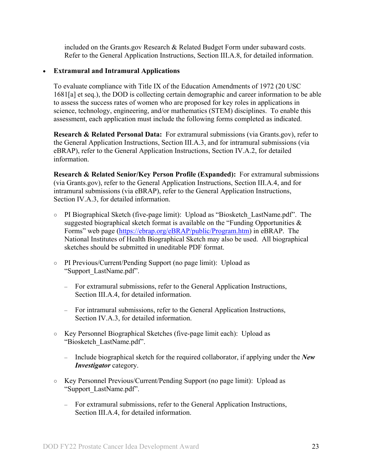included on the Grants.gov Research & Related Budget Form under subaward costs. Refer to the General Application Instructions, Section III.A.8, for detailed information.

#### • **Extramural and Intramural Applications**

To evaluate compliance with Title IX of the Education Amendments of 1972 (20 USC 1681[a] et seq.), the DOD is collecting certain demographic and career information to be able to assess the success rates of women who are proposed for key roles in applications in science, technology, engineering, and/or mathematics (STEM) disciplines. To enable this assessment, each application must include the following forms completed as indicated.

<span id="page-22-0"></span>**Research & Related Personal Data:** For extramural submissions (via Grants.gov), refer to the General Application Instructions, Section III.A.3, and for intramural submissions (via eBRAP), refer to the General Application Instructions, Section IV.A.2, for detailed information.

<span id="page-22-1"></span>**Research & Related Senior/Key Person Profile (Expanded):** For extramural submissions (via Grants.gov), refer to the General Application Instructions, Section III.A.4, and for intramural submissions (via eBRAP), refer to the General Application Instructions, Section IV.A.3, for detailed information.

- PI Biographical Sketch (five-page limit): Upload as "Biosketch\_LastName.pdf". The suggested biographical sketch format is available on the "Funding Opportunities  $\&$ Forms" web page [\(https://ebrap.org/eBRAP/public/Program.htm\)](https://ebrap.org/eBRAP/public/Program.htm) in eBRAP. The National Institutes of Health Biographical Sketch may also be used. All biographical sketches should be submitted in uneditable PDF format.
- PI Previous/Current/Pending Support (no page limit): Upload as "Support\_LastName.pdf".
	- For extramural submissions, refer to the General Application Instructions, Section III.A.4, for detailed information.
	- For intramural submissions, refer to the General Application Instructions, Section IV.A.3, for detailed information.
- Key Personnel Biographical Sketches (five-page limit each): Upload as "Biosketch\_LastName.pdf".
	- Include biographical sketch for the required collaborator, if applying under the *New Investigator* category.
- Key Personnel Previous/Current/Pending Support (no page limit): Upload as "Support\_LastName.pdf".
	- For extramural submissions, refer to the General Application Instructions, Section III.A.4, for detailed information.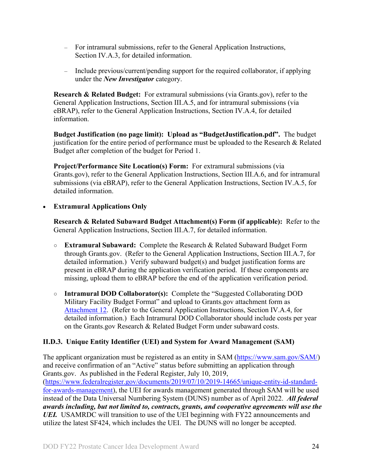- For intramural submissions, refer to the General Application Instructions, Section IV.A.3, for detailed information.
- Include previous/current/pending support for the required collaborator, if applying under the *New Investigator* category.

<span id="page-23-1"></span>**Research & Related Budget:** For extramural submissions (via Grants.gov), refer to the General Application Instructions, Section III.A.5, and for intramural submissions (via eBRAP), refer to the General Application Instructions, Section IV.A.4, for detailed information.

**Budget Justification (no page limit): Upload as "BudgetJustification.pdf".** The budget justification for the entire period of performance must be uploaded to the Research & Related Budget after completion of the budget for Period 1.

<span id="page-23-2"></span>**Project/Performance Site Location(s) Form:** For extramural submissions (via Grants.gov), refer to the General Application Instructions, Section III.A.6, and for intramural submissions (via eBRAP), refer to the General Application Instructions, Section IV.A.5, for detailed information.

#### • **Extramural Applications Only**

<span id="page-23-3"></span>**Research & Related Subaward Budget Attachment(s) Form (if applicable):** Refer to the General Application Instructions, Section III.A.7, for detailed information.

- **Extramural Subaward:** Complete the Research & Related Subaward Budget Form through Grants.gov. (Refer to the General Application Instructions, Section III.A.7, for detailed information.) Verify subaward budget(s) and budget justification forms are present in eBRAP during the application verification period. If these components are missing, upload them to eBRAP before the end of the application verification period.
- **Intramural DOD Collaborator(s):** Complete the "Suggested Collaborating DOD Military Facility Budget Format" and upload to Grants.gov attachment form as [Attachment 12.](#page-21-2) (Refer to the General Application Instructions, Section IV.A.4, for detailed information.) Each Intramural DOD Collaborator should include costs per year on the Grants.gov Research & Related Budget Form under subaward costs.

## <span id="page-23-0"></span>**II.D.3. Unique Entity Identifier (UEI) and System for Award Management (SAM)**

The applicant organization must be registered as an entity in SAM [\(https://www.sam.gov/SAM/\)](https://www.sam.gov/SAM/) and receive confirmation of an "Active" status before submitting an application through Grants.gov. As published in the Federal Register, July 10, 2019, [\(https://www.federalregister.gov/documents/2019/07/10/2019-14665/unique-entity-id-standard](https://www.federalregister.gov/documents/2019/07/10/2019-14665/unique-entity-id-standard-for-awards-management)[for-awards-management\)](https://www.federalregister.gov/documents/2019/07/10/2019-14665/unique-entity-id-standard-for-awards-management), the UEI for awards management generated through SAM will be used instead of the Data Universal Numbering System (DUNS) number as of April 2022. *All federal awards including, but not limited to, contracts, grants, and cooperative agreements will use the UEI.* USAMRDC will transition to use of the UEI beginning with FY22 announcements and utilize the latest SF424, which includes the UEI. The DUNS will no longer be accepted.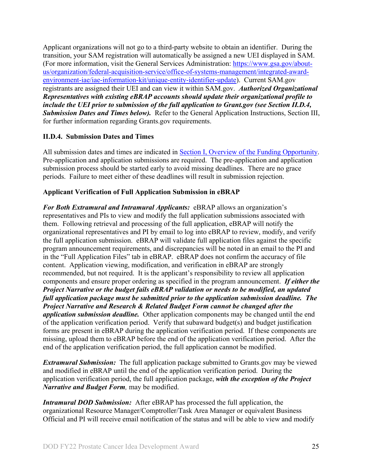Applicant organizations will not go to a third-party website to obtain an identifier. During the transition, your SAM registration will automatically be assigned a new UEI displayed in SAM. (For more information, visit the General Services Administration: [https://www.gsa.gov/about](https://www.gsa.gov/about-us/organization/federal-acquisition-service/office-of-systems-management/integrated-award-environment-iae/iae-information-kit/unique-entity-identifier-update)[us/organization/federal-acquisition-service/office-of-systems-management/integrated-award](https://www.gsa.gov/about-us/organization/federal-acquisition-service/office-of-systems-management/integrated-award-environment-iae/iae-information-kit/unique-entity-identifier-update)[environment-iae/iae-information-kit/unique-entity-identifier-update\)](https://www.gsa.gov/about-us/organization/federal-acquisition-service/office-of-systems-management/integrated-award-environment-iae/iae-information-kit/unique-entity-identifier-update). Current SAM.gov registrants are assigned their UEI and can view it within SAM.gov. *Authorized Organizational Representatives with existing eBRAP accounts should update their organizational profile to include the UEI prior to submission of the full application to Grant.gov (see Section II.D.4, Submission Dates and Times below).* Refer to the General Application Instructions, Section III, for further information regarding Grants.gov requirements.

#### <span id="page-24-0"></span>**II.D.4. Submission Dates and Times**

All submission dates and times are indicated in [Section I, Overview of the Funding Opportunity.](#page-0-1) Pre-application and application submissions are required. The pre-application and application submission process should be started early to avoid missing deadlines. There are no grace periods. Failure to meet either of these deadlines will result in submission rejection.

### <span id="page-24-1"></span>**Applicant Verification of Full Application Submission in eBRAP**

*For Both Extramural and Intramural Applicants:* eBRAP allows an organization's representatives and PIs to view and modify the full application submissions associated with them. Following retrieval and processing of the full application, eBRAP will notify the organizational representatives and PI by email to log into eBRAP to review, modify, and verify the full application submission. eBRAP will validate full application files against the specific program announcement requirements, and discrepancies will be noted in an email to the PI and in the "Full Application Files" tab in eBRAP. eBRAP does not confirm the accuracy of file content. Application viewing, modification, and verification in eBRAP are strongly recommended, but not required. It is the applicant's responsibility to review all application components and ensure proper ordering as specified in the program announcement. *If either the Project Narrative or the budget fails eBRAP validation or needs to be modified, an updated full application package must be submitted prior to the application submission deadline. The Project Narrative and Research & Related Budget Form cannot be changed after the application submission deadline.* Other application components may be changed until the end of the [application verification period.](#page-0-0) Verify that subaward budget(s) and budget justification forms are present in eBRAP during the application verification period. If these components are missing, upload them to eBRAP before the end of the application verification period. After the end of the application verification period, the full application cannot be modified.

*Extramural Submission:* The full application package submitted to Grants.gov may be viewed and modified in eBRAP until the end of the application verification period. During the application verification period, the full application package, *with the exception of the Project Narrative and Budget Form,* may be modified.

*Intramural DOD Submission:* After eBRAP has processed the full application, the organizational Resource Manager/Comptroller/Task Area Manager or equivalent Business Official and PI will receive email notification of the status and will be able to view and modify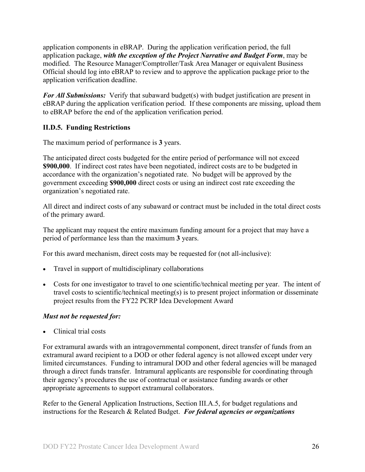application components in eBRAP. During the application verification period, the full application package, *with the exception of the Project Narrative and Budget Form*, may be modified. The Resource Manager/Comptroller/Task Area Manager or equivalent Business Official should log into eBRAP to review and to approve the application package prior to the application verification deadline.

*For All Submissions:* Verify that subaward budget(s) with budget justification are present in eBRAP during the application verification period. If these components are missing, upload them to eBRAP before the end of the application verification period.

### <span id="page-25-0"></span>**II.D.5. Funding Restrictions**

The maximum period of performance is **3** years.

The anticipated direct costs budgeted for the entire period of performance will not exceed **\$900,000**. If indirect cost rates have been negotiated, indirect costs are to be budgeted in accordance with the organization's negotiated rate. No budget will be approved by the government exceeding **\$900,000** direct costs or using an indirect cost rate exceeding the organization's negotiated rate.

All direct and indirect costs of any subaward or contract must be included in the total direct costs of the primary award.

The applicant may request the entire maximum funding amount for a project that may have a period of performance less than the maximum **3** years.

For this award mechanism, direct costs may be requested for (not all-inclusive):

- Travel in support of multidisciplinary collaborations
- Costs for one investigator to travel to one scientific/technical meeting per year. The intent of travel costs to scientific/technical meeting(s) is to present project information or disseminate project results from the FY22 PCRP Idea Development Award

## *Must not be requested for:*

• Clinical trial costs

For extramural awards with an intragovernmental component, direct transfer of funds from an extramural award recipient to a DOD or other federal agency is not allowed except under very limited circumstances. Funding to intramural DOD and other federal agencies will be managed through a direct funds transfer. Intramural applicants are responsible for coordinating through their agency's procedures the use of contractual or assistance funding awards or other appropriate agreements to support extramural collaborators.

Refer to the General Application Instructions, Section III.A.5, for budget regulations and instructions for the Research & Related Budget. *For federal agencies or organizations*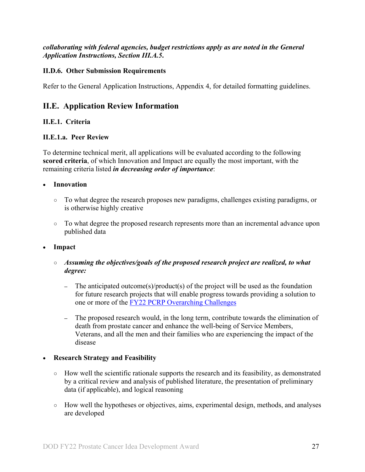*collaborating with federal agencies, budget restrictions apply as are noted in the General Application Instructions, Section III.A.5***.**

#### <span id="page-26-0"></span>**II.D.6. Other Submission Requirements**

Refer to the General Application Instructions, Appendix 4, for detailed formatting guidelines.

## <span id="page-26-1"></span>**II.E. Application Review Information**

### <span id="page-26-2"></span>**II.E.1. Criteria**

#### <span id="page-26-3"></span>**II.E.1.a. Peer Review**

To determine technical merit, all applications will be evaluated according to the following **scored criteria**, of which Innovation and Impact are equally the most important, with the remaining criteria listed *in decreasing order of importance*:

- **Innovation**
	- To what degree the research proposes new paradigms, challenges existing paradigms, or is otherwise highly creative
	- To what degree the proposed research represents more than an incremental advance upon published data
- **Impact**
	- *Assuming the objectives/goals of the proposed research project are realized, to what degree:*
		- **–** The anticipated outcome(s)/product(s) of the project will be used as the foundation for future research projects that will enable progress towards providing a solution to one or more of the FY22 [PCRP Overarching Challenges](#page-2-2)
		- **–** The proposed research would, in the long term, contribute towards the elimination of death from prostate cancer and enhance the well-being of Service Members, Veterans, and all the men and their families who are experiencing the impact of the disease

#### • **Research Strategy and Feasibility**

- How well the scientific rationale supports the research and its feasibility, as demonstrated by a critical review and analysis of published literature, the presentation of preliminary data (if applicable), and logical reasoning
- How well the hypotheses or objectives, aims, experimental design, methods, and analyses are developed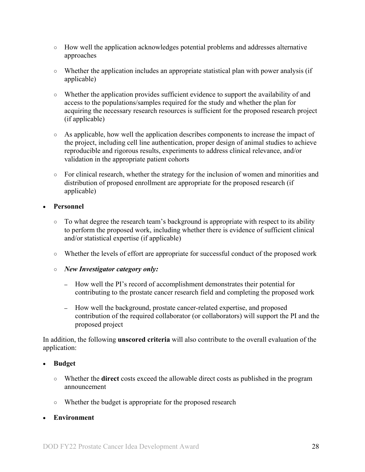- How well the application acknowledges potential problems and addresses alternative approaches
- Whether the application includes an appropriate statistical plan with power analysis (if applicable)
- Whether the application provides sufficient evidence to support the availability of and access to the populations/samples required for the study and whether the plan for acquiring the necessary research resources is sufficient for the proposed research project (if applicable)
- As applicable, how well the application describes components to increase the impact of the project, including cell line authentication, proper design of animal studies to achieve reproducible and rigorous results, experiments to address clinical relevance, and/or validation in the appropriate patient cohorts
- For clinical research, whether the strategy for the inclusion of women and minorities and distribution of proposed enrollment are appropriate for the proposed research (if applicable)

### • **Personnel**

- To what degree the research team's background is appropriate with respect to its ability to perform the proposed work, including whether there is evidence of sufficient clinical and/or statistical expertise (if applicable)
- Whether the levels of effort are appropriate for successful conduct of the proposed work
- *New Investigator category only:*
	- **–** How well the PI's record of accomplishment demonstrates their potential for contributing to the prostate cancer research field and completing the proposed work
	- **–** How well the background, prostate cancer-related expertise, and proposed contribution of the required collaborator (or collaborators) will support the PI and the proposed project

In addition, the following **unscored criteria** will also contribute to the overall evaluation of the application:

#### • **Budget**

- Whether the **direct** costs exceed the allowable direct costs as published in the program announcement
- Whether the budget is appropriate for the proposed research
- **Environment**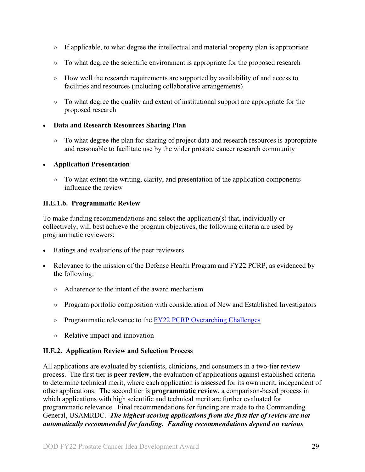- If applicable, to what degree the intellectual and material property plan is appropriate
- To what degree the scientific environment is appropriate for the proposed research
- How well the research requirements are supported by availability of and access to facilities and resources (including collaborative arrangements)
- To what degree the quality and extent of institutional support are appropriate for the proposed research

### • **Data and Research Resources Sharing Plan**

○ To what degree the plan for sharing of project data and research resources is appropriate and reasonable to facilitate use by the wider prostate cancer research community

### • **Application Presentation**

 $\circ$  To what extent the writing, clarity, and presentation of the application components influence the review

### <span id="page-28-1"></span>**II.E.1.b. Programmatic Review**

To make funding recommendations and select the application(s) that, individually or collectively, will best achieve the program objectives, the following criteria are used by programmatic reviewers:

- Ratings and evaluations of the peer reviewers
- Relevance to the mission of the Defense Health Program and FY22 PCRP, as evidenced by the following:
	- Adherence to the intent of the award mechanism
	- Program portfolio composition with consideration of New and Established Investigators
	- Programmatic relevance to the FY22 [PCRP Overarching Challenges](#page-2-2)
	- Relative impact and innovation

## <span id="page-28-0"></span>**II.E.2. Application Review and Selection Process**

All applications are evaluated by scientists, clinicians, and consumers in a two-tier review process. The first tier is **peer review**, the evaluation of applications against established criteria to determine technical merit, where each application is assessed for its own merit, independent of other applications. The second tier is **programmatic review**, a comparison-based process in which applications with high scientific and technical merit are further evaluated for programmatic relevance. Final recommendations for funding are made to the Commanding General, USAMRDC. *The highest-scoring applications from the first tier of review are not automatically recommended for funding. Funding recommendations depend on various*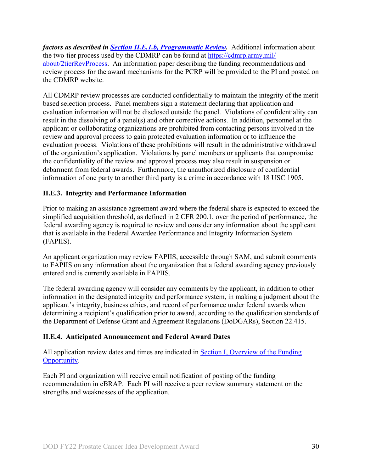*factors as described in Section [II.E.1.b, Programmatic Review.](#page-28-1)* Additional information about the two-tier process used by the CDMRP can be found at [https://cdmrp.army.mil/](https://cdmrp.army.mil/about/2tierRevProcess) [about/2tierRevProcess.](https://cdmrp.army.mil/about/2tierRevProcess) An information paper describing the funding recommendations and review process for the award mechanisms for the PCRP will be provided to the PI and posted on the CDMRP website.

All CDMRP review processes are conducted confidentially to maintain the integrity of the meritbased selection process. Panel members sign a statement declaring that application and evaluation information will not be disclosed outside the panel. Violations of confidentiality can result in the dissolving of a panel(s) and other corrective actions. In addition, personnel at the applicant or collaborating organizations are prohibited from contacting persons involved in the review and approval process to gain protected evaluation information or to influence the evaluation process. Violations of these prohibitions will result in the administrative withdrawal of the organization's application. Violations by panel members or applicants that compromise the confidentiality of the review and approval process may also result in suspension or debarment from federal awards. Furthermore, the unauthorized disclosure of confidential information of one party to another third party is a crime in accordance with 18 USC 1905.

### <span id="page-29-0"></span>**II.E.3. Integrity and Performance Information**

Prior to making an assistance agreement award where the federal share is expected to exceed the simplified acquisition threshold, as defined in 2 CFR 200.1, over the period of performance, the federal awarding agency is required to review and consider any information about the applicant that is available in the Federal Awardee Performance and Integrity Information System (FAPIIS).

An applicant organization may review FAPIIS, accessible through SAM, and submit comments to FAPIIS on any information about the organization that a federal awarding agency previously entered and is currently available in FAPIIS.

The federal awarding agency will consider any comments by the applicant, in addition to other information in the designated integrity and performance system, in making a judgment about the applicant's integrity, business ethics, and record of performance under federal awards when determining a recipient's qualification prior to award, according to the qualification standards of the Department of Defense Grant and Agreement Regulations (DoDGARs), Section 22.415.

#### <span id="page-29-1"></span>**II.E.4. Anticipated Announcement and Federal Award Dates**

All application review dates and times are indicated in [Section I, Overview of the Funding](#page-0-1)  [Opportunity.](#page-0-1)

Each PI and organization will receive email notification of posting of the funding recommendation in eBRAP. Each PI will receive a peer review summary statement on the strengths and weaknesses of the application.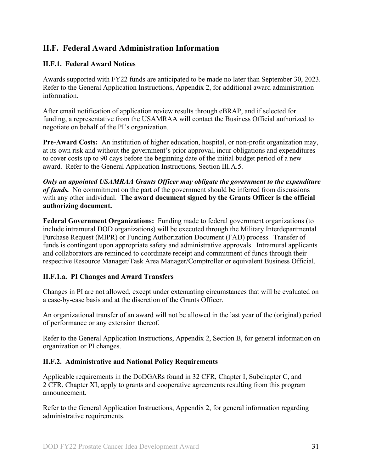## <span id="page-30-0"></span>**II.F. Federal Award Administration Information**

#### <span id="page-30-1"></span>**II.F.1. Federal Award Notices**

Awards supported with FY22 funds are anticipated to be made no later than September 30, 2023. Refer to the General Application Instructions, Appendix 2, for additional award administration information.

After email notification of application review results through eBRAP, and if selected for funding, a representative from the USAMRAA will contact the Business Official authorized to negotiate on behalf of the PI's organization.

**Pre-Award Costs:** An institution of higher education, hospital, or non-profit organization may, at its own risk and without the government's prior approval, incur obligations and expenditures to cover costs up to 90 days before the beginning date of the initial budget period of a new award. Refer to the General Application Instructions, Section III.A.5.

*Only an appointed USAMRAA Grants Officer may obligate the government to the expenditure of funds.* No commitment on the part of the government should be inferred from discussions with any other individual. **The award document signed by the Grants Officer is the official authorizing document.**

**Federal Government Organizations:**Funding made to federal government organizations (to include intramural DOD organizations) will be executed through the Military Interdepartmental Purchase Request (MIPR) or Funding Authorization Document (FAD) process. Transfer of funds is contingent upon appropriate safety and administrative approvals. Intramural applicants and collaborators are reminded to coordinate receipt and commitment of funds through their respective Resource Manager/Task Area Manager/Comptroller or equivalent Business Official.

#### **II.F.1.a. PI Changes and Award Transfers**

Changes in PI are not allowed, except under extenuating circumstances that will be evaluated on a case-by-case basis and at the discretion of the Grants Officer.

An organizational transfer of an award will not be allowed in the last year of the (original) period of performance or any extension thereof.

Refer to the General Application Instructions, Appendix 2, Section B, for general information on organization or PI changes.

#### <span id="page-30-2"></span>**II.F.2. Administrative and National Policy Requirements**

Applicable requirements in the DoDGARs found in 32 CFR, Chapter I, Subchapter C, and 2 CFR, Chapter XI, apply to grants and cooperative agreements resulting from this program announcement.

Refer to the General Application Instructions, Appendix 2, for general information regarding administrative requirements.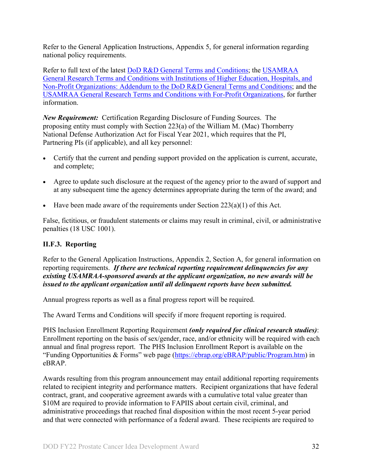Refer to the General Application Instructions, Appendix 5, for general information regarding national policy requirements.

Refer to full text of the latest DoD [R&D General Terms and Conditions;](https://www.onr.navy.mil/work-with-us/manage-your-award/manage-grant-award/grants-terms-conditions) the [USAMRAA](https://www.usamraa.army.mil/Pages/Resources.aspx)  [General Research Terms and Conditions with Institutions of Higher Education, Hospitals, and](https://www.usamraa.army.mil/Pages/Resources.aspx)  [Non-Profit Organizations: Addendum to the DoD](https://www.usamraa.army.mil/Pages/Resources.aspx) R&D General Terms and Conditions; and the [USAMRAA General Research Terms and Conditions with For-Profit Organizations,](https://www.usamraa.army.mil/Pages/Resources.aspx) for further information.

*New Requirement:* Certification Regarding Disclosure of Funding Sources. The proposing entity must comply with Section 223(a) of the William M. (Mac) Thornberry National Defense Authorization Act for Fiscal Year 2021, which requires that the PI, Partnering PIs (if applicable), and all key personnel:

- Certify that the current and pending support provided on the application is current, accurate, and complete;
- Agree to update such disclosure at the request of the agency prior to the award of support and at any subsequent time the agency determines appropriate during the term of the award; and
- Have been made aware of the requirements under Section  $223(a)(1)$  of this Act.

False, fictitious, or fraudulent statements or claims may result in criminal, civil, or administrative penalties (18 USC 1001).

#### <span id="page-31-0"></span>**II.F.3. Reporting**

Refer to the General Application Instructions, Appendix 2, Section A, for general information on reporting requirements. *If there are technical reporting requirement delinquencies for any existing USAMRAA-sponsored awards at the applicant organization, no new awards will be issued to the applicant organization until all delinquent reports have been submitted.*

Annual progress reports as well as a final progress report will be required.

The Award Terms and Conditions will specify if more frequent reporting is required.

PHS Inclusion Enrollment Reporting Requirement *(only required for clinical research studies)*: Enrollment reporting on the basis of sex/gender, race, and/or ethnicity will be required with each annual and final progress report. The PHS Inclusion Enrollment Report is available on the "Funding Opportunities & Forms" web page [\(https://ebrap.org/eBRAP/public/Program.htm\)](https://ebrap.org/eBRAP/public/Program.htm) in eBRAP.

Awards resulting from this program announcement may entail additional reporting requirements related to recipient integrity and performance matters. Recipient organizations that have federal contract, grant, and cooperative agreement awards with a cumulative total value greater than \$10M are required to provide information to FAPIIS about certain civil, criminal, and administrative proceedings that reached final disposition within the most recent 5-year period and that were connected with performance of a federal award. These recipients are required to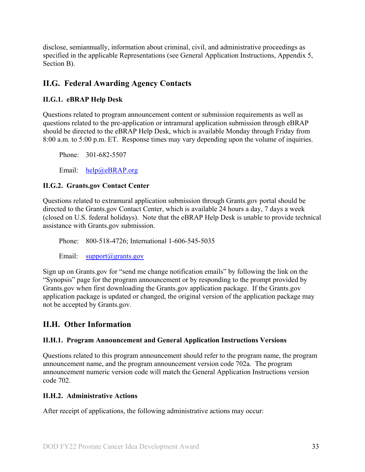disclose, semiannually, information about criminal, civil, and administrative proceedings as specified in the applicable Representations (see General Application Instructions, Appendix 5, Section B).

## <span id="page-32-0"></span>**II.G. Federal Awarding Agency Contacts**

### <span id="page-32-1"></span>**II.G.1. eBRAP Help Desk**

Questions related to program announcement content or submission requirements as well as questions related to the pre-application or intramural application submission through eBRAP should be directed to the eBRAP Help Desk, which is available Monday through Friday from 8:00 a.m. to 5:00 p.m. ET. Response times may vary depending upon the volume of inquiries.

Phone: 301-682-5507

Email: [help@eBRAP.org](mailto:help@eBRAP.org)

#### <span id="page-32-2"></span>**II.G.2. Grants.gov Contact Center**

Questions related to extramural application submission through Grants.gov portal should be directed to the Grants.gov Contact Center, which is available 24 hours a day, 7 days a week (closed on U.S. federal holidays). Note that the eBRAP Help Desk is unable to provide technical assistance with Grants.gov submission.

Phone: 800-518-4726; International 1-606-545-5035

Email: [support@grants.gov](mailto:support@grants.gov)

Sign up on Grants.gov for "send me change notification emails" by following the link on the "Synopsis" page for the program announcement or by responding to the prompt provided by Grants.gov when first downloading the Grants.gov application package. If the Grants.gov application package is updated or changed, the original version of the application package may not be accepted by Grants.gov.

## <span id="page-32-3"></span>**II.H. Other Information**

#### <span id="page-32-4"></span>**II.H.1. Program Announcement and General Application Instructions Versions**

Questions related to this program announcement should refer to the program name, the program announcement name, and the program announcement version code 702a. The program announcement numeric version code will match the General Application Instructions version code 702.

#### <span id="page-32-5"></span>**II.H.2. Administrative Actions**

After receipt of applications, the following administrative actions may occur: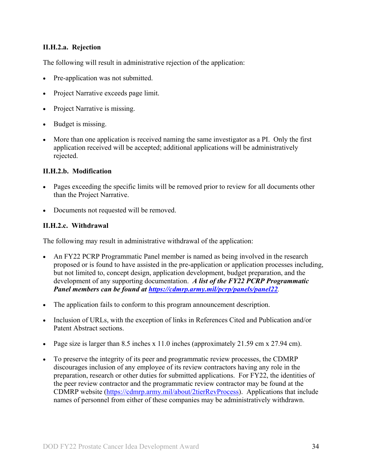#### **II.H.2.a. Rejection**

The following will result in administrative rejection of the application:

- Pre-application was not submitted.
- Project Narrative exceeds page limit.
- Project Narrative is missing.
- Budget is missing.
- More than one application is received naming the same investigator as a PI. Only the first application received will be accepted; additional applications will be administratively rejected.

#### **II.H.2.b. Modification**

- Pages exceeding the specific limits will be removed prior to review for all documents other than the Project Narrative.
- Documents not requested will be removed.

#### <span id="page-33-0"></span>**II.H.2.c. Withdrawal**

The following may result in administrative withdrawal of the application:

- An FY22 PCRP Programmatic Panel member is named as being involved in the research proposed or is found to have assisted in the pre-application or application processes including, but not limited to, concept design, application development, budget preparation, and the development of any supporting documentation. *A list of the FY22 PCRP Programmatic Panel members can be found at<https://cdmrp.army.mil/pcrp/panels/panel22>.*
- The application fails to conform to this program announcement description.
- Inclusion of URLs, with the exception of links in References Cited and Publication and/or Patent Abstract sections.
- Page size is larger than 8.5 inches x 11.0 inches (approximately 21.59 cm x 27.94 cm).
- To preserve the integrity of its peer and programmatic review processes, the CDMRP discourages inclusion of any employee of its review contractors having any role in the preparation, research or other duties for submitted applications. For FY22, the identities of the peer review contractor and the programmatic review contractor may be found at the CDMRP website [\(https://cdmrp.army.mil/about/2tierRevProcess\)](https://cdmrp.army.mil/about/2tierRevProcess). Applications that include names of personnel from either of these companies may be administratively withdrawn.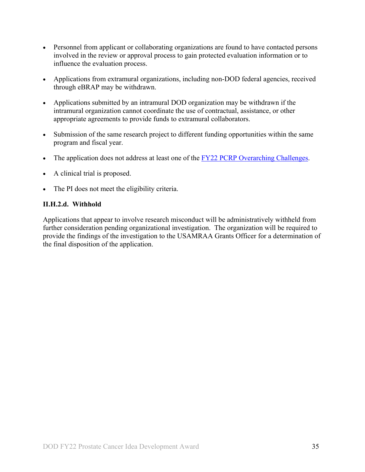- Personnel from applicant or collaborating organizations are found to have contacted persons involved in the review or approval process to gain protected evaluation information or to influence the evaluation process.
- Applications from extramural organizations, including non-DOD federal agencies, received through eBRAP may be withdrawn.
- Applications submitted by an intramural DOD organization may be withdrawn if the intramural organization cannot coordinate the use of contractual, assistance, or other appropriate agreements to provide funds to extramural collaborators.
- Submission of the same research project to different funding opportunities within the same program and fiscal year.
- The application does not address at least one of the [FY22 PCRP Overarching Challenges.](#page-2-2)
- A clinical trial is proposed.
- The PI does not meet the eligibility criteria.

#### **II.H.2.d. Withhold**

Applications that appear to involve research misconduct will be administratively withheld from further consideration pending organizational investigation. The organization will be required to provide the findings of the investigation to the USAMRAA Grants Officer for a determination of the final disposition of the application.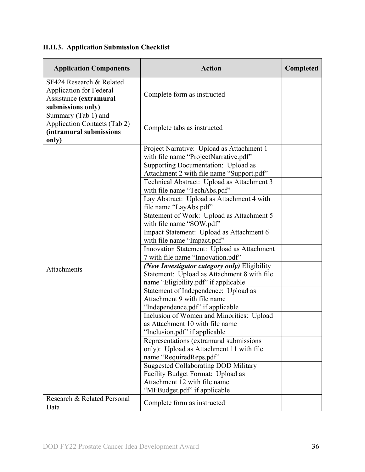# <span id="page-35-0"></span>**II.H.3. Application Submission Checklist**

| <b>Application Components</b>                                                                             | <b>Action</b>                                                                                                   | Completed |
|-----------------------------------------------------------------------------------------------------------|-----------------------------------------------------------------------------------------------------------------|-----------|
| SF424 Research & Related<br><b>Application for Federal</b><br>Assistance (extramural<br>submissions only) | Complete form as instructed                                                                                     |           |
| Summary (Tab 1) and<br><b>Application Contacts (Tab 2)</b><br>(intramural submissions<br>only)            | Complete tabs as instructed                                                                                     |           |
|                                                                                                           | Project Narrative: Upload as Attachment 1<br>with file name "ProjectNarrative.pdf"                              |           |
|                                                                                                           | Supporting Documentation: Upload as<br>Attachment 2 with file name "Support.pdf"                                |           |
|                                                                                                           | Technical Abstract: Upload as Attachment 3<br>with file name "TechAbs.pdf"                                      |           |
|                                                                                                           | Lay Abstract: Upload as Attachment 4 with<br>file name "LayAbs.pdf"                                             |           |
|                                                                                                           | Statement of Work: Upload as Attachment 5<br>with file name "SOW.pdf"                                           |           |
|                                                                                                           | Impact Statement: Upload as Attachment 6                                                                        |           |
|                                                                                                           | with file name "Impact.pdf"<br>Innovation Statement: Upload as Attachment                                       |           |
| Attachments                                                                                               | 7 with file name "Innovation.pdf"<br>(New Investigator category only) Eligibility                               |           |
|                                                                                                           | Statement: Upload as Attachment 8 with file<br>name "Eligibility.pdf" if applicable                             |           |
|                                                                                                           | Statement of Independence: Upload as<br>Attachment 9 with file name                                             |           |
|                                                                                                           | "Independence.pdf" if applicable                                                                                |           |
|                                                                                                           | Inclusion of Women and Minorities: Upload<br>as Attachment 10 with file name<br>"Inclusion.pdf" if applicable   |           |
|                                                                                                           | Representations (extramural submissions)<br>only): Upload as Attachment 11 with file<br>name "RequiredReps.pdf" |           |
|                                                                                                           | <b>Suggested Collaborating DOD Military</b>                                                                     |           |
|                                                                                                           | Facility Budget Format: Upload as<br>Attachment 12 with file name<br>"MFBudget.pdf" if applicable               |           |
| Research & Related Personal<br>Data                                                                       | Complete form as instructed                                                                                     |           |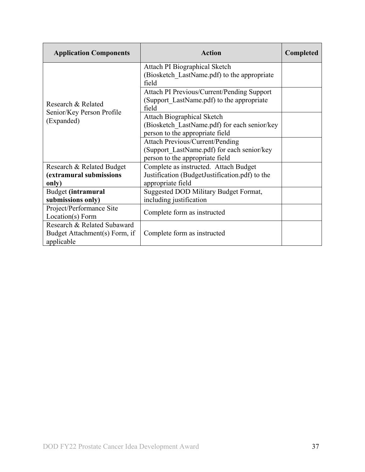| <b>Application Components</b>                                              | Action                                                                                                                  | <b>Completed</b> |
|----------------------------------------------------------------------------|-------------------------------------------------------------------------------------------------------------------------|------------------|
|                                                                            | Attach PI Biographical Sketch<br>(Biosketch LastName.pdf) to the appropriate<br>field                                   |                  |
| Research & Related                                                         | Attach PI Previous/Current/Pending Support<br>(Support LastName.pdf) to the appropriate<br>field                        |                  |
| Senior/Key Person Profile<br>(Expanded)                                    | <b>Attach Biographical Sketch</b><br>(Biosketch LastName.pdf) for each senior/key<br>person to the appropriate field    |                  |
|                                                                            | <b>Attach Previous/Current/Pending</b><br>(Support LastName.pdf) for each senior/key<br>person to the appropriate field |                  |
| Research & Related Budget<br>(extramural submissions<br>only)              | Complete as instructed. Attach Budget<br>Justification (BudgetJustification.pdf) to the<br>appropriate field            |                  |
| Budget (intramural<br>submissions only)                                    | Suggested DOD Military Budget Format,<br>including justification                                                        |                  |
| Project/Performance Site<br>Location(s) Form                               | Complete form as instructed                                                                                             |                  |
| Research & Related Subaward<br>Budget Attachment(s) Form, if<br>applicable | Complete form as instructed                                                                                             |                  |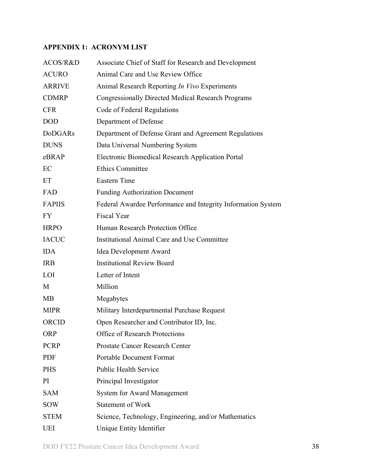## <span id="page-37-0"></span>**APPENDIX 1: ACRONYM LIST**

| ACOS/R&D       | Associate Chief of Staff for Research and Development        |
|----------------|--------------------------------------------------------------|
| <b>ACURO</b>   | Animal Care and Use Review Office                            |
| <b>ARRIVE</b>  | Animal Research Reporting In Vivo Experiments                |
| <b>CDMRP</b>   | <b>Congressionally Directed Medical Research Programs</b>    |
| <b>CFR</b>     | Code of Federal Regulations                                  |
| <b>DOD</b>     | Department of Defense                                        |
| <b>DoDGARs</b> | Department of Defense Grant and Agreement Regulations        |
| <b>DUNS</b>    | Data Universal Numbering System                              |
| eBRAP          | Electronic Biomedical Research Application Portal            |
| EC             | <b>Ethics Committee</b>                                      |
| ET             | <b>Eastern Time</b>                                          |
| FAD            | <b>Funding Authorization Document</b>                        |
| <b>FAPIIS</b>  | Federal Awardee Performance and Integrity Information System |
| <b>FY</b>      | <b>Fiscal Year</b>                                           |
| <b>HRPO</b>    | Human Research Protection Office                             |
| <b>IACUC</b>   | <b>Institutional Animal Care and Use Committee</b>           |
| <b>IDA</b>     | Idea Development Award                                       |
| <b>IRB</b>     | <b>Institutional Review Board</b>                            |
| LOI            | Letter of Intent                                             |
| M              | Million                                                      |
| <b>MB</b>      | Megabytes                                                    |
| <b>MIPR</b>    | Military Interdepartmental Purchase Request                  |
| ORCID          | Open Researcher and Contributor ID, Inc.                     |
| <b>ORP</b>     | <b>Office of Research Protections</b>                        |
| <b>PCRP</b>    | <b>Prostate Cancer Research Center</b>                       |
| <b>PDF</b>     | <b>Portable Document Format</b>                              |
| <b>PHS</b>     | <b>Public Health Service</b>                                 |
| PI             | Principal Investigator                                       |
| <b>SAM</b>     | <b>System for Award Management</b>                           |
| <b>SOW</b>     | <b>Statement of Work</b>                                     |
| <b>STEM</b>    | Science, Technology, Engineering, and/or Mathematics         |
| <b>UEI</b>     | Unique Entity Identifier                                     |